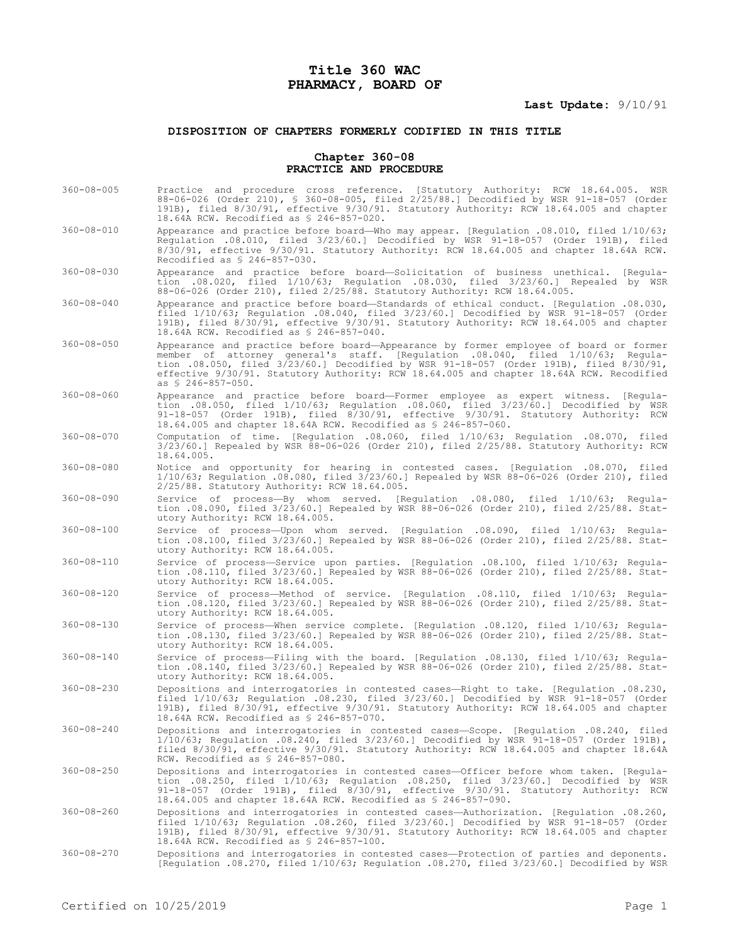# **Title 360 WAC PHARMACY, BOARD OF**

## **Last Update:** 9/10/91

## **DISPOSITION OF CHAPTERS FORMERLY CODIFIED IN THIS TITLE**

#### **Chapter 360-08 PRACTICE AND PROCEDURE**

- 360-08-005 Practice and procedure cross reference. [Statutory Authority: RCW 18.64.005. WSR 88-06-026 (Order 210), § 360-08-005, filed 2/25/88.] Decodified by WSR 91-18-057 (Order 191B), filed 8/30/91, effective 9/30/91. Statutory Authority: RCW 18.64.005 and chapter 18.64A RCW. Recodified as § 246-857-020.
- 360-08-010 Appearance and practice before board—Who may appear. [Regulation .08.010, filed 1/10/63; Regulation .08.010, filed 3/23/60.] Decodified by WSR 91-18-057 (Order 191B), filed 8/30/91, effective 9/30/91. Statutory Authority: RCW 18.64.005 and chapter 18.64A RCW. Recodified as § 246-857-030.
- 360-08-030 Appearance and practice before board—Solicitation of business unethical. [Regulation .08.020, filed 1/10/63; Regulation .08.030, filed 3/23/60.] Repealed by WSR 88-06-026 (Order 210), filed 2/25/88. Statutory Authority: RCW 18.64.005.
- 360-08-040 Appearance and practice before board—Standards of ethical conduct. [Regulation .08.030, filed 1/10/63; Regulation .08.040, filed 3/23/60.] Decodified by WSR 91-18-057 (Order 191B), filed 8/30/91, effective 9/30/91. Statutory Authority: RCW 18.64.005 and chapter 18.64A RCW. Recodified as § 246-857-040.
- 360-08-050 Appearance and practice before board—Appearance by former employee of board or former member of attorney general's staff. [Regulation .08.040, filed 1/10/63; Regulation .08.050, filed 3/23/60.] Decodified by WSR 91-18-057 (Order 191B), filed 8/30/91, effective 9/30/91. Statutory Authority: RCW 18.64.005 and chapter 18.64A RCW. Recodified as § 246-857-050.
- 360-08-060 Appearance and practice before board—Former employee as expert witness. [Regulation .08.050, filed 1/10/63; Regulation .08.060, filed 3/23/60.] Decodified by WSR 91-18-057 (Order 191B), filed 8/30/91, effective 9/30/91. Statutory Authority: RCW 18.64.005 and chapter 18.64A RCW. Recodified as § 246-857-060.
- 360-08-070 Computation of time. [Regulation .08.060, filed 1/10/63; Regulation .08.070, filed 3/23/60.] Repealed by WSR 88-06-026 (Order 210), filed 2/25/88. Statutory Authority: RCW 18.64.005.
- 360-08-080 Notice and opportunity for hearing in contested cases. [Regulation .08.070, filed 1/10/63; Regulation .08.080, filed 3/23/60.] Repealed by WSR 88-06-026 (Order 210), filed 2/25/88. Statutory Authority: RCW 18.64.005.
- 360-08-090 Service of process—By whom served. [Regulation .08.080, filed 1/10/63; Regulation .08.090, filed 3/23/60.] Repealed by WSR 88-06-026 (Order 210), filed 2/25/88. Statutory Authority: RCW 18.64.005.
- 360-08-100 Service of process—Upon whom served. [Regulation .08.090, filed 1/10/63; Regulation .08.100, filed 3/23/60.] Repealed by WSR 88-06-026 (Order 210), filed 2/25/88. Statutory Authority: RCW 18.64.005.
- 360-08-110 Service of process—Service upon parties. [Regulation .08.100, filed 1/10/63; Regulation .08.110, filed 3/23/60.] Repealed by WSR 88-06-026 (Order 210), filed 2/25/88. Statutory Authority: RCW 18.64.005.
- 360-08-120 Service of process—Method of service. [Regulation .08.110, filed 1/10/63; Regulation .08.120, filed 3/23/60.] Repealed by WSR 88-06-026 (Order 210), filed 2/25/88. Statutory Authority: RCW 18.64.005.
- 360-08-130 Service of process—When service complete. [Regulation .08.120, filed 1/10/63; Regulation .08.130, filed 3/23/60.] Repealed by WSR 88-06-026 (Order 210), filed 2/25/88. Statutory Authority: RCW 18.64.005.
- 360-08-140 Service of process—Filing with the board. [Regulation .08.130, filed 1/10/63; Regulation .08.140, filed 3/23/60.] Repealed by WSR 88-06-026 (Order 210), filed 2/25/88. Statutory Authority: RCW 18.64.005.
- 360-08-230 Depositions and interrogatories in contested cases—Right to take. [Regulation .08.230, filed 1/10/63; Regulation .08.230, filed 3/23/60.] Decodified by WSR 91-18-057 (Order 191B), filed 8/30/91, effective 9/30/91. Statutory Authority: RCW 18.64.005 and chapter 18.64A RCW. Recodified as § 246-857-070.
- 360-08-240 Depositions and interrogatories in contested cases—Scope. [Regulation .08.240, filed 1/10/63; Regulation .08.240, filed 3/23/60.] Decodified by WSR 91-18-057 (Order 191B), filed 8/30/91, effective 9/30/91. Statutory Authority: RCW 18.64.005 and chapter 18.64A RCW. Recodified as § 246-857-080.
- 360-08-250 Depositions and interrogatories in contested cases—Officer before whom taken. [Regulation .08.250, filed 1/10/63; Regulation .08.250, filed 3/23/60.] Decodified by WSR<br>91-18-057 (Order 191B), filed 8/30/91, effective 9/30/91. Statutory Authority: RCW<br>18.64.005 and chapter 18.64A RCW. Recodified as § 246-85
- 360-08-260 Depositions and interrogatories in contested cases—Authorization. [Regulation .08.260, filed 1/10/63; Regulation .08.260, filed 3/23/60.] Decodified by WSR 91-18-057 (Order 191B), filed 8/30/91, effective 9/30/91. Statutory Authority: RCW 18.64.005 and chapter 18.64A RCW. Recodified as § 246-857-100.
- 360-08-270 Depositions and interrogatories in contested cases—Protection of parties and deponents. [Regulation .08.270, filed 1/10/63; Regulation .08.270, filed 3/23/60.] Decodified by WSR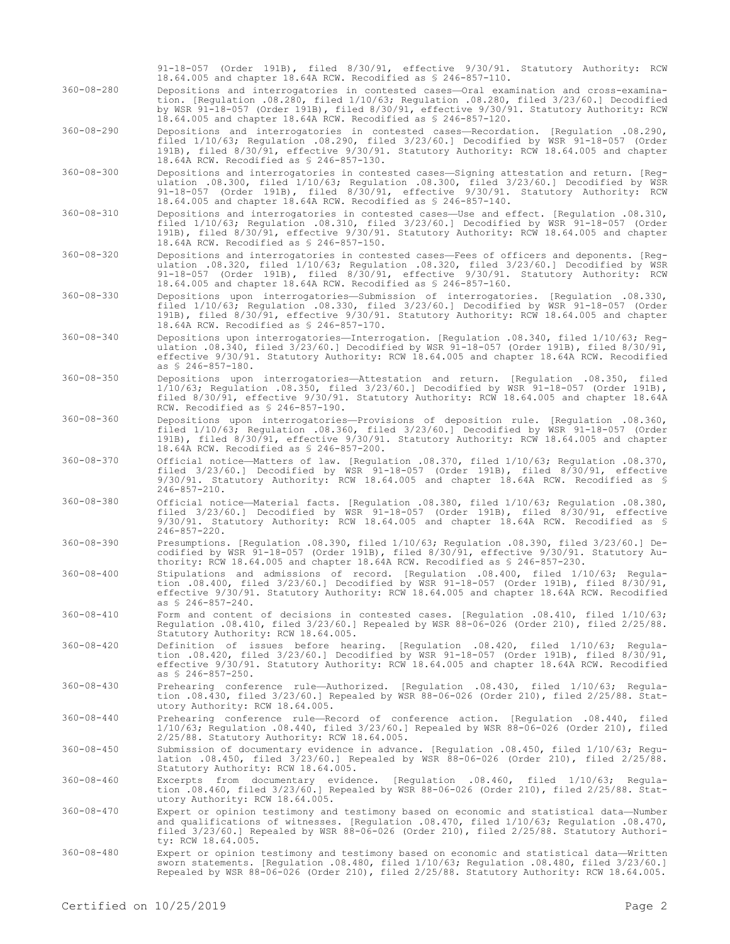|                  | 91-18-057 (Order 191B), filed 8/30/91, effective 9/30/91. Statutory Authority: RCW<br>18.64.005 and chapter 18.64A RCW. Recodified as \$ 246-857-110.                                                                                                                                                                                              |
|------------------|----------------------------------------------------------------------------------------------------------------------------------------------------------------------------------------------------------------------------------------------------------------------------------------------------------------------------------------------------|
| $360 - 08 - 280$ | Depositions and interrogatories in contested cases-Oral examination and cross-examina-<br>tion. [Regulation .08.280, filed 1/10/63; Regulation .08.280, filed 3/23/60.] Decodified<br>by WSR 91-18-057 (Order 191B), filed 8/30/91, effective 9/30/91. Statutory Authority: RCW<br>18.64.005 and chapter 18.64A RCW. Recodified as \$ 246-857-120. |
| $360 - 08 - 290$ | Depositions and interrogatories in contested cases-Recordation. [Requlation .08.290,<br>filed 1/10/63; Regulation .08.290, filed 3/23/60.] Decodified by WSR 91-18-057 (Order<br>191B), filed 8/30/91, effective 9/30/91. Statutory Authority: RCW 18.64.005 and chapter<br>18.64A RCW. Recodified as \$ 246-857-130.                              |
| $360 - 08 - 300$ | Depositions and interrogatories in contested cases-Signing attestation and return. [Reg-<br>ulation .08.300, filed $1/10/63$ ; Regulation .08.300, filed $3/23/60$ .] Decodified by WSR<br>91-18-057 (Order 191B), filed 8/30/91, effective 9/30/91. Statutory Authority: RCW<br>18.64.005 and chapter 18.64A RCW. Recodified as \$ 246-857-140.   |
| $360 - 08 - 310$ | Depositions and interrogatories in contested cases-Use and effect. [Requlation .08.310,<br>filed 1/10/63; Regulation .08.310, filed 3/23/60.] Decodified by WSR 91-18-057 (Order<br>191B), filed 8/30/91, effective 9/30/91. Statutory Authority: RCW 18.64.005 and chapter<br>18.64A RCW. Recodified as \$ 246-857-150.                           |
| $360 - 08 - 320$ | Depositions and interrogatories in contested cases-Fees of officers and deponents. [Req-<br>ulation .08.320, filed 1/10/63; Regulation .08.320, filed 3/23/60.] Decodified by WSR<br>91-18-057 (Order 191B), filed 8/30/91, effective 9/30/91. Statutory Authority: RCW<br>18.64.005 and chapter 18.64A RCW. Recodified as \$ 246-857-160.         |
| $360 - 08 - 330$ | Depositions upon interrogatories—Submission of interrogatories. [Requlation .08.330,<br>filed 1/10/63; Requlation .08.330, filed 3/23/60.] Decodified by WSR 91-18-057 (Order<br>191B), filed 8/30/91, effective 9/30/91. Statutory Authority: RCW 18.64.005 and chapter<br>18.64A RCW. Recodified as \$ 246-857-170.                              |
| $360 - 08 - 340$ | Depositions upon interrogatories-Interrogation. [Regulation .08.340, filed 1/10/63; Reg-<br>ulation .08.340, filed 3/23/60.] Decodified by WSR 91-18-057 (Order 191B), filed 8/30/91,<br>effective 9/30/91. Statutory Authority: RCW 18.64.005 and chapter 18.64A RCW. Recodified<br>as $$246-857-180$ .                                           |
| $360 - 08 - 350$ | Depositions upon interrogatories—Attestation and return. [Requlation .08.350, filed<br>1/10/63; Regulation .08.350, filed 3/23/60.] Decodified by WSR 91-18-057 (Order 191B),<br>filed 8/30/91, effective 9/30/91. Statutory Authority: RCW 18.64.005 and chapter 18.64A<br>RCW. Recodified as \$ 246-857-190.                                     |
| $360 - 08 - 360$ | Depositions upon interrogatories-Provisions of deposition rule. [Regulation .08.360,<br>filed $1/10/63$ ; Requlation .08.360, filed $3/23/60$ .] Decodified by WSR 91-18-057 (Order<br>191B), filed 8/30/91, effective 9/30/91. Statutory Authority: RCW 18.64.005 and chapter<br>18.64A RCW. Recodified as \$ 246-857-200.                        |
| $360 - 08 - 370$ | Official notice—Matters of law. [Regulation .08.370, filed 1/10/63; Regulation .08.370,<br>filed $3/23/60$ .] Decodified by WSR 91-18-057 (Order 191B), filed $8/30/91$ , effective<br>$9/30/91$ . Statutory Authority: RCW 18.64.005 and chapter 18.64A RCW. Recodified as §<br>$246 - 857 - 210$ .                                               |
| $360 - 08 - 380$ | Official notice—Material facts. [Requlation .08.380, filed 1/10/63; Requlation .08.380,<br>filed 3/23/60.] Decodified by WSR 91-18-057 (Order 191B), filed 8/30/91, effective<br>$9/30/91$ . Statutory Authority: RCW 18.64.005 and chapter 18.64A RCW. Recodified as §<br>$246 - 857 - 220$ .                                                     |
| $360 - 08 - 390$ | Presumptions. [Regulation .08.390, filed 1/10/63; Regulation .08.390, filed 3/23/60.] De-<br>codified by WSR 91-18-057 (Order 191B), filed 8/30/91, effective 9/30/91. Statutory Au-<br>thority: RCW 18.64.005 and chapter 18.64A RCW. Recodified as $$246-857-230$ .                                                                              |
| $360 - 08 - 400$ | Stipulations and admissions of record. [Requlation .08.400, filed 1/10/63; Requla-<br>tion .08.400, filed $3/23/60$ . Decodified by WSR 91-18-057 (Order 191B), filed 8/30/91,<br>effective 9/30/91. Statutory Authority: RCW 18.64.005 and chapter 18.64A RCW. Recodified<br>as \$ 246-857-240.                                                   |
| $360 - 08 - 410$ | Form and content of decisions in contested cases. [Requlation .08.410, filed 1/10/63;<br>Regulation .08.410, filed 3/23/60.] Repealed by WSR 88-06-026 (Order 210), filed 2/25/88.<br>Statutory Authority: RCW 18.64.005.                                                                                                                          |
| $360 - 08 - 420$ | Definition of issues before hearing. [Requlation .08.420, filed 1/10/63; Requla-<br>tion .08.420, filed $3/23/60.$ ] Decodified by WSR 91-18-057 (Order 191B), filed 8/30/91,<br>effective 9/30/91. Statutory Authority: RCW 18.64.005 and chapter 18.64A RCW. Recodified<br>as $$246-857-250$ .                                                   |
| $360 - 08 - 430$ | Prehearing conference rule—Authorized. [Regulation .08.430, filed 1/10/63; Regula-<br>tion .08.430, filed 3/23/60.] Repealed by WSR 88-06-026 (Order 210), filed 2/25/88. Stat-<br>utory Authority: RCW 18.64.005.                                                                                                                                 |
| $360 - 08 - 440$ | Prehearing conference rule-Record of conference action. [Requlation .08.440, filed<br>$1/10/63$ ; Regulation .08.440, filed $3/23/60$ .] Repealed by WSR 88-06-026 (Order 210), filed<br>2/25/88. Statutory Authority: RCW 18.64.005.                                                                                                              |
| $360 - 08 - 450$ | Submission of documentary evidence in advance. [Regulation .08.450, filed 1/10/63; Regu-<br>lation .08.450, filed 3/23/60.] Repealed by WSR 88-06-026 (Order 210), filed 2/25/88.<br>Statutory Authority: RCW 18.64.005.                                                                                                                           |
| $360 - 08 - 460$ | Excerpts from documentary evidence. [Regulation .08.460, filed 1/10/63; Regula-<br>tion .08.460, filed 3/23/60.] Repealed by WSR 88-06-026 (Order 210), filed 2/25/88. Stat-<br>utory Authority: RCW 18.64.005.                                                                                                                                    |
| $360 - 08 - 470$ | Expert or opinion testimony and testimony based on economic and statistical data-Number<br>and qualifications of witnesses. [Regulation .08.470, filed 1/10/63; Regulation .08.470,<br>filed 3/23/60.] Repealed by WSR 88-06-026 (Order 210), filed 2/25/88. Statutory Authori-<br>ty: RCW 18.64.005.                                              |
| $360 - 08 - 480$ | Expert or opinion testimony and testimony based on economic and statistical data—Written<br>sworn statements. [Regulation .08.480, filed 1/10/63; Regulation .08.480, filed 3/23/60.]<br>Repealed by WSR 88-06-026 (Order 210), filed 2/25/88. Statutory Authority: RCW 18.64.005.                                                                 |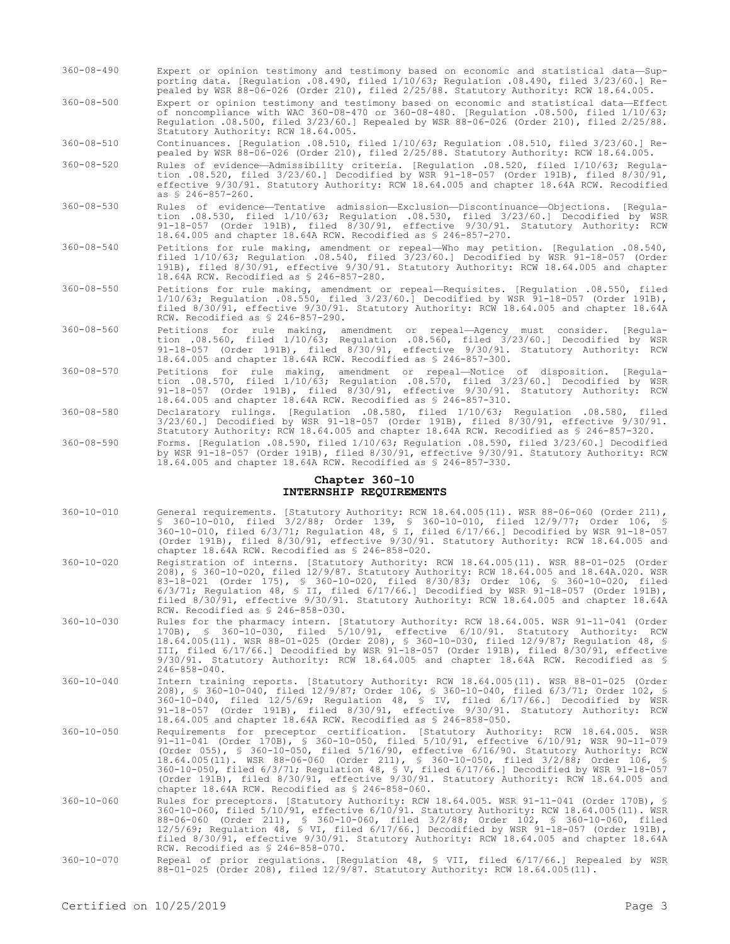- 360-08-490 Expert or opinion testimony and testimony based on economic and statistical data—Supporting data. [Regulation .08.490, filed 1/10/63; Regulation .08.490, filed 3/23/60.] Repealed by WSR 88-06-026 (Order 210), filed 2/25/88. Statutory Authority: RCW 18.64.005.
- 360-08-500 Expert or opinion testimony and testimony based on economic and statistical data—Effect of noncompliance with WAC 360-08-470 or 360-08-480. [Regulation .08.500, filed 1/10/63; Regulation .08.500, filed 3/23/60.] Repealed by WSR 88-06-026 (Order 210), filed 2/25/88. Statutory Authority: RCW 18.64.005.

360-08-510 Continuances. [Regulation .08.510, filed 1/10/63; Regulation .08.510, filed 3/23/60.] Repealed by WSR 88-06-026 (Order 210), filed 2/25/88. Statutory Authority: RCW 18.64.005.

- 360-08-520 Rules of evidence—Admissibility criteria. [Regulation .08.520, filed 1/10/63; Regulation .08.520, filed 3/23/60.] Decodified by WSR 91-18-057 (Order 191B), filed 8/30/91, effective 9/30/91. Statutory Authority: RCW 18.64.005 and chapter 18.64A RCW. Recodified as § 246-857-260.
- 360-08-530 Rules of evidence—Tentative admission—Exclusion—Discontinuance—Objections. [Regulation .08.530, filed 1/10/63; Regulation .08.530, filed 3/23/60.] Decodified by WSR 91-18-057 (Order 191B), filed 8/30/91, effective 9/30/91. Statutory Authority: RCW 18.64.005 and chapter 18.64A RCW. Recodified as § 246-857-270.
- 360-08-540 Petitions for rule making, amendment or repeal—Who may petition. [Regulation .08.540, filed 1/10/63; Regulation .08.540, filed 3/23/60.] Decodified by WSR 91-18-057 (Order 191B), filed 8/30/91, effective 9/30/91. Statutory Authority: RCW 18.64.005 and chapter 18.64A RCW. Recodified as § 246-857-280.
- 360-08-550 Petitions for rule making, amendment or repeal—Requisites. [Regulation .08.550, filed 1/10/63; Regulation .08.550, filed 3/23/60.] Decodified by WSR 91-18-057 (Order 191B), filed 8/30/91, effective 9/30/91. Statutory Authority: RCW 18.64.005 and chapter 18.64A RCW. Recodified as § 246-857-290.
- 360-08-560 Petitions for rule making, amendment or repeal—Agency must consider. [Regulation .08.560, filed 1/10/63; Regulation .08.560, filed 3/23/60.] Decodified by WSR 91-18-057 (Order 191B), filed 8/30/91, effective 9/30/91. Statutory Authority: RCW 18.64.005 and chapter 18.64A RCW. Recodified as § 246-857-300.
- 360-08-570 Petitions for rule making, amendment or repeal—Notice of disposition. [Regulation .08.570, filed 1/10/63; Regulation .08.570, filed 3/23/60.] Decodified by WSR 91-18-057 (Order 191B), filed 8/30/91, effective 9/30/91. Statutory Authority: RCW 18.64.005 and chapter 18.64A RCW. Recodified as § 246-857-310.
- 360-08-580 Declaratory rulings. [Regulation .08.580, filed 1/10/63; Regulation .08.580, filed 3/23/60.] Decodified by WSR 91-18-057 (Order 191B), filed 8/30/91, effective 9/30/91. Statutory Authority: RCW 18.64.005 and chapter 18.64A RCW. Recodified as § 246-857-320.
- 360-08-590 Forms. [Regulation .08.590, filed 1/10/63; Regulation .08.590, filed 3/23/60.] Decodified by WSR 91-18-057 (Order 191B), filed 8/30/91, effective 9/30/91. Statutory Authority: RCW 18.64.005 and chapter 18.64A RCW. Recodified as § 246-857-330.

#### **Chapter 360-10 INTERNSHIP REQUIREMENTS**

- 360-10-010 General requirements. [Statutory Authority: RCW 18.64.005(11). WSR 88-06-060 (Order 211), § 360-10-010, filed 3/2/88; Order 139, § 360-10-010, filed 12/9/77; Order 106, § 360-10-010, filed 6/3/71; Regulation 48, § I, filed 6/17/66.] Decodified by WSR 91-18-057 (Order 191B), filed 8/30/91, effective 9/30/91. Statutory Authority: RCW 18.64.005 and chapter 18.64A RCW. Recodified as § 246-858-020.
- 360-10-020 Registration of interns. [Statutory Authority: RCW 18.64.005(11). WSR 88-01-025 (Order 208), § 360-10-020, filed 12/9/87. Statutory Authority: RCW 18.64.005 and 18.64A.020. WSR 83-18-021 (Order 175), § 360-10-020, filed 8/30/83; Order 106, § 360-10-020, filed  $6/3/71$ ; Regulation 48, § II, filed  $6/17/66$ .] Decodified by WSR 91-18-057 (Order 191B), filed 8/30/91, effective 9/30/91. Statutory Authority: RCW 18.64.005 and chapter 18.64A RCW. Recodified as § 246-858-030.
- 360-10-030 Rules for the pharmacy intern. [Statutory Authority: RCW 18.64.005. WSR 91-11-041 (Order 170B), § 360-10-030, filed 5/10/91, effective 6/10/91. Statutory Authority: RCW 18.64.005(11). WSR 88-01-025 (Order 208), § 360-10-030, filed 12/9/87; Regulation 48, § III, filed 6/17/66.] Decodified by WSR 91-18-057 (Order 191B), filed 8/30/91, effective 9/30/91. Statutory Authority: RCW 18.64.005 and chapter 18.64A RCW. Recodified as § 246-858-040.
- 360-10-040 Intern training reports. [Statutory Authority: RCW 18.64.005(11). WSR 88-01-025 (Order 208), § 360-10-040, filed 12/9/87; Order 106, § 360-10-040, filed 6/3/71; Order 102, § 360-10-040, filed 12/5/69; Regulation 48, § IV, filed 6/17/66.] Decodified by WSR 91-18-057 (Order 191B), filed 8/30/91, effective 9/30/91. Statutory Authority: RCW 18.64.005 and chapter 18.64A RCW. Recodified as § 246-858-050.
- 360-10-050 Requirements for preceptor certification. [Statutory Authority: RCW 18.64.005. WSR 91-11-041 (Order 170B), § 360-10-050, filed 5/10/91, effective 6/10/91; WSR 90-11-079 (Order 055), § 360-10-050, filed 5/16/90, effective 6/16/90. Statutory Authority: RCW 18.64.005(11). WSR 88-06-060 (Order 211), § 360-10-050, filed 3/2/88; Order 106, § 360-10-050, filed 6/3/71; Regulation 48, § V, filed 6/17/66.] Decodified by WSR 91-18-057 (Order 191B), filed 8/30/91, effective 9/30/91. Statutory Authority: RCW 18.64.005 and chapter 18.64A RCW. Recodified as § 246-858-060.
- 360-10-060 Rules for preceptors. [Statutory Authority: RCW 18.64.005. WSR 91-11-041 (Order 170B), § 360-10-060, filed 5/10/91, effective 6/10/91. Statutory Authority: RCW 18.64.005(11). WSR 88-06-060 (Order 211), § 360-10-060, filed 3/2/88; Order 102, § 360-10-060, filed 12/5/69; Regulation 48, § VI, filed 6/17/66.] Decodified by WSR 91-18-057 (Order 191B), filed 8/30/91, effective 9/30/91. Statutory Authority: RCW 18.64.005 and chapter 18.64A RCW. Recodified as § 246-858-070.
- 360-10-070 Repeal of prior regulations. [Regulation 48, § VII, filed 6/17/66.] Repealed by WSR 88-01-025 (Order 208), filed 12/9/87. Statutory Authority: RCW 18.64.005(11).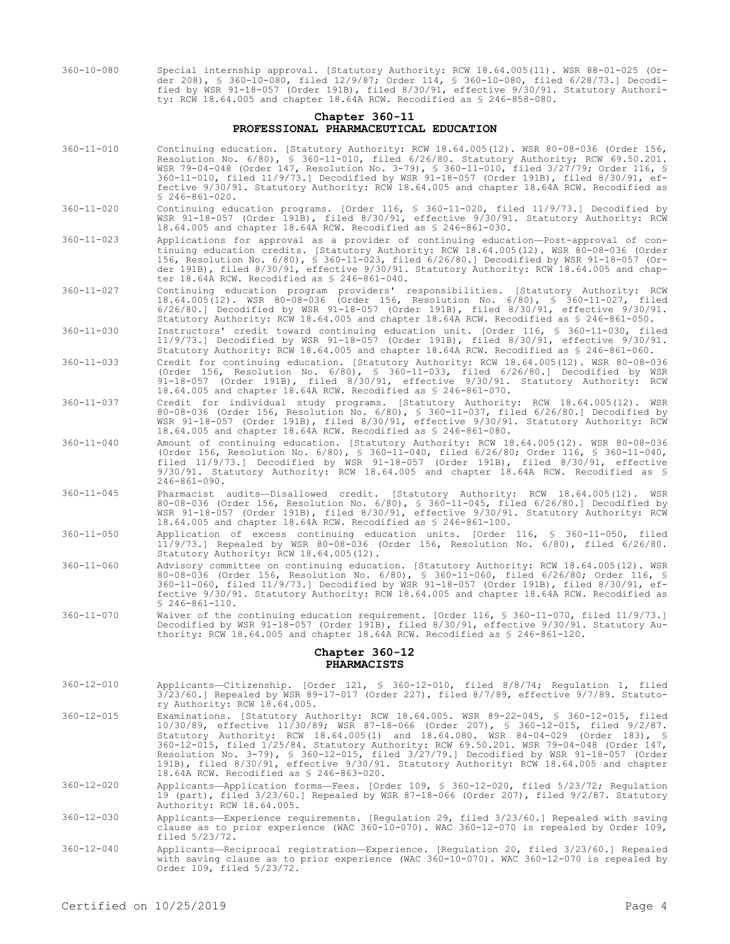360-10-080 Special internship approval. [Statutory Authority: RCW 18.64.005(11). WSR 88-01-025 (Order 208), § 360-10-080, filed 12/9/87; Order 114, § 360-10-080, filed 6/28/73.] Decodified by WSR 91-18-057 (Order 191B), filed 8/30/91, effective 9/30/91. Statutory Authority: RCW 18.64.005 and chapter 18.64A RCW. Recodified as § 246-858-080.

## **Chapter 360-11 PROFESSIONAL PHARMACEUTICAL EDUCATION**

- 360-11-010 Continuing education. [Statutory Authority: RCW 18.64.005(12). WSR 80-08-036 (Order 156, Resolution No. 6/80), § 360-11-010, filed 6/26/80. Statutory Authority; RCW 69.50.201. WSR 79-04-048 (Order 147, Resolution No. 3-79), § 360-11-010, filed 3/27/79; Order 116, § 360-11-010, filed 11/9/73.] Decodified by WSR 91-18-057 (Order 191B), filed 8/30/91, effective 9/30/91. Statutory Authority: RCW 18.64.005 and chapter 18.64A RCW. Recodified as § 246-861-020.
- 360-11-020 Continuing education programs. [Order 116, § 360-11-020, filed 11/9/73.] Decodified by WSR 91-18-057 (Order 191B), filed 8/30/91, effective 9/30/91. Statutory Authority: RCW 18.64.005 and chapter 18.64A RCW. Recodified as § 246-861-030.
- 360-11-023 Applications for approval as a provider of continuing education—Post-approval of continuing education credits. [Statutory Authority: RCW 18.64.005(12). WSR 80-08-036 (Order 156, Resolution No. 6/80), § 360-11-023, filed 6/26/80.] Decodified by WSR 91-18-057 (Order 191B), filed 8/30/91, effective 9/30/91. Statutory Authority: RCW 18.64.005 and chapter 18.64A RCW. Recodified as § 246-861-040.
- 360-11-027 Continuing education program providers' responsibilities. [Statutory Authority: RCW 18.64.005(12). WSR 80-08-036 (Order 156, Resolution No. 6/80), § 360-11-027, filed 6/26/80.] Decodified by WSR 91-18-057 (Order 191B), filed 8/30/91, effective 9/30/91. Statutory Authority: RCW 18.64.005 and chapter 18.64A RCW. Recodified as § 246-861-050.
- 360-11-030 Instructors' credit toward continuing education unit. [Order 116, § 360-11-030, filed 11/9/73.] Decodified by WSR 91-18-057 (Order 191B), filed 8/30/91, effective 9/30/91. Statutory Authority: RCW 18.64.005 and chapter 18.64A RCW. Recodified as § 246-861-060.
- 360-11-033 Credit for continuing education. [Statutory Authority: RCW 18.64.005(12). WSR 80-08-036 (Order 156, Resolution No. 6/80), § 360-11-033, filed 6/26/80.] Decodified by WSR 91-18-057 (Order 191B), filed 8/30/91, effective 9/30/91. Statutory Authority: RCW 18.64.005 and chapter 18.64A RCW. Recodified as § 246-861-070.
- 360-11-037 Credit for individual study programs. [Statutory Authority: RCW 18.64.005(12). WSR 80-08-036 (Order 156, Resolution No. 6/80), § 360-11-037, filed 6/26/80.] Decodified by WSR 91-18-057 (Order 191B), filed 8/30/91, effective 9/30/91. Statutory Authority: RCW 18.64.005 and chapter 18.64A RCW. Recodified as § 246-861-080.
- 360-11-040 Amount of continuing education. [Statutory Authority: RCW 18.64.005(12). WSR 80-08-036 (Order 156, Resolution No. 6/80), § 360-11-040, filed 6/26/80; Order 116, § 360-11-040, filed 11/9/73.] Decodified by WSR 91-18-057 (Order 191B), filed 8/30/91, effective 9/30/91. Statutory Authority: RCW 18.64.005 and chapter 18.64A RCW. Recodified as § 246-861-090.
- 360-11-045 Pharmacist audits—Disallowed credit. [Statutory Authority: RCW 18.64.005(12). WSR 80-08-036 (Order 156, Resolution No. 6/80), § 360-11-045, filed 6/26/80.] Decodified by WSR 91-18-057 (Order 191B), filed 8/30/91, effective 9/30/91. Statutory Authority: RCW 18.64.005 and chapter 18.64A RCW. Recodified as § 246-861-100.
- 360-11-050 Application of excess continuing education units. [Order 116, § 360-11-050, filed 11/9/73.] Repealed by WSR 80-08-036 (Order 156, Resolution No. 6/80), filed 6/26/80. Statutory Authority: RCW 18.64.005(12).
- 360-11-060 Advisory committee on continuing education. [Statutory Authority: RCW 18.64.005(12). WSR 80-08-036 (Order 156, Resolution No. 6/80), § 360-11-060, filed 6/26/80; Order 116, § 360-11-060, filed 11/9/73.] Decodified by WSR 91-18-057 (Order 191B), filed 8/30/91, effective 9/30/91. Statutory Authority: RCW 18.64.005 and chapter 18.64A RCW. Recodified as  $$246-861-110.$
- 360-11-070 Waiver of the continuing education requirement. [Order 116, § 360-11-070, filed 11/9/73.] Decodified by WSR 91-18-057 (Order 191B), filed 8/30/91, effective 9/30/91. Statutory Authority: RCW 18.64.005 and chapter 18.64A RCW. Recodified as § 246-861-120.

### **Chapter 360-12 PHARMACISTS**

- 360-12-010 Applicants—Citizenship. [Order 121, § 360-12-010, filed 8/8/74; Regulation 1, filed 3/23/60.] Repealed by WSR 89-17-017 (Order 227), filed 8/7/89, effective 9/7/89. Statutory Authority: RCW 18.64.005.
- 360-12-015 Examinations. [Statutory Authority: RCW 18.64.005. WSR 89-22-045, § 360-12-015, filed 10/30/89, effective 11/30/89; WSR 87-18-066 (Order 207), § 360-12-015, filed 9/2/87. Statutory Authority: RCW 18.64.005(1) and 18.64.080. WSR 84-04-029 (Order 183), § 360-12-015, filed 1/25/84. Statutory Authority: RCW 69.50.201. WSR 79-04-048 (Order 147, Resolution No. 3-79), § 360-12-015, filed 3/27/79.] Decodified by WSR 91-18-057 (Order 191B), filed 8/30/91, effective 9/30/91. Statutory Authority: RCW 18.64.005 and chapter 18.64A RCW. Recodified as § 246-863-020.
- 360-12-020 Applicants—Application forms—Fees. [Order 109, § 360-12-020, filed 5/23/72; Regulation 19 (part), filed 3/23/60.] Repealed by WSR 87-18-066 (Order 207), filed 9/2/87. Statutory Authority: RCW 18.64.005.
- 360-12-030 Applicants—Experience requirements. [Regulation 29, filed 3/23/60.] Repealed with saving clause as to prior experience (WAC 360-10-070). WAC 360-12-070 is repealed by Order 109, filed 5/23/72.
- 360-12-040 Applicants—Reciprocal registration—Experience. [Regulation 20, filed 3/23/60.] Repealed with saving clause as to prior experience (WAC 360-10-070). WAC 360-12-070 is repealed by Order 109, filed 5/23/72.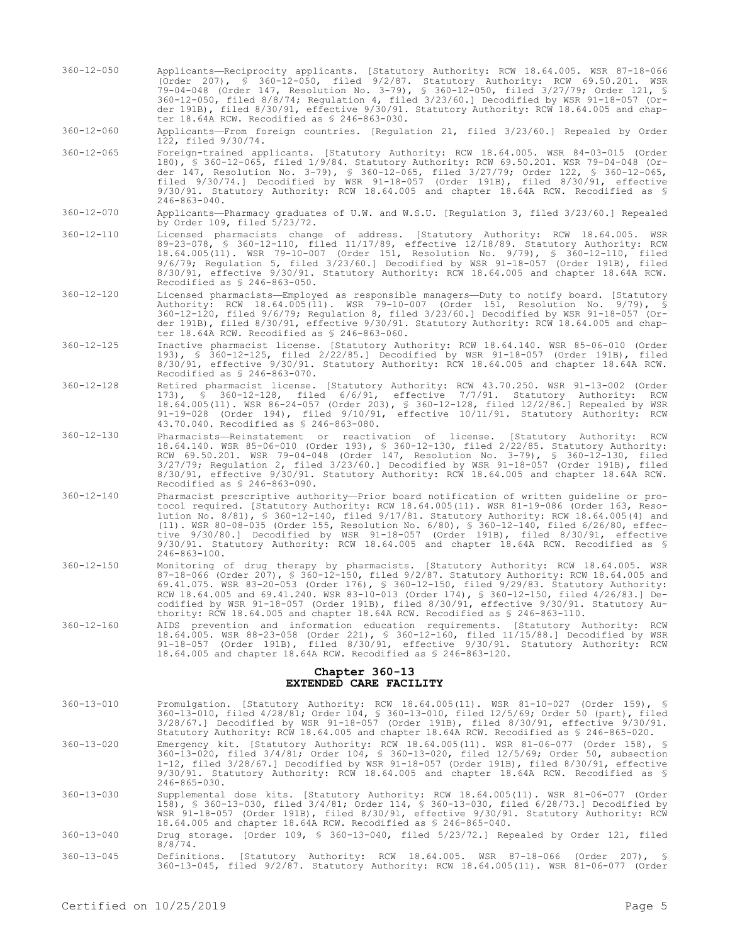360-12-050 Applicants—Reciprocity applicants. [Statutory Authority: RCW 18.64.005. WSR 87-18-066 (Order 207), § 360-12-050, filed 9/2/87. Statutory Authority: RCW 69.50.201. WSR 79-04-048 (Order 147, Resolution No. 3-79), § 360-12-050, filed 3/27/79; Order 121, § 360-12-050, filed 8/8/74; Regulation 4, filed 3/23/60.] Decodified by WSR 91-18-057 (Order 191B), filed 8/30/91, effective 9/30/91. Statutory Authority: RCW 18.64.005 and chapter 18.64A RCW. Recodified as § 246-863-030.

360-12-060 Applicants—From foreign countries. [Regulation 21, filed 3/23/60.] Repealed by Order 122, filed 9/30/74.

- 360-12-065 Foreign-trained applicants. [Statutory Authority: RCW 18.64.005. WSR 84-03-015 (Order 180), § 360-12-065, filed 1/9/84. Statutory Authority: RCW 69.50.201. WSR 79-04-048 (Order 147, Resolution No. 3-79), § 360-12-065, filed 3/27/79; Order 122, § 360-12-065, filed 9/30/74.] Decodified by WSR 91-18-057 (Order 191B), filed 8/30/91, effective 9/30/91. Statutory Authority: RCW 18.64.005 and chapter 18.64A RCW. Recodified as § 246-863-040.
- 360-12-070 Applicants—Pharmacy graduates of U.W. and W.S.U. [Regulation 3, filed 3/23/60.] Repealed by Order 109, filed 5/23/72.
- 360-12-110 Licensed pharmacists change of address. [Statutory Authority: RCW 18.64.005. WSR 89-23-078, § 360-12-110, filed 11/17/89, effective 12/18/89. Statutory Authority: RCW 18.64.005(11). WSR 79-10-007 (Order 151, Resolution No. 9/79), § 360-12-110, filed 9/6/79; Regulation 5, filed 3/23/60.] Decodified by WSR 91-18-057 (Order 191B), filed 8/30/91, effective 9/30/91. Statutory Authority: RCW 18.64.005 and chapter 18.64A RCW. Recodified as § 246-863-050.
- 360-12-120 Licensed pharmacists—Employed as responsible managers—Duty to notify board. [Statutory Authority: RCW 18.64.005(11). WSR 79-10-007 (Order 151, Resolution No. 9/79), § 360-12-120, filed 9/6/79; Regulation 8, filed 3/23/60.] Decodified by WSR 91-18-057 (Order 191B), filed 8/30/91, effective 9/30/91. Statutory Authority: RCW 18.64.005 and chapter 18.64A RCW. Recodified as § 246-863-060.
- 360-12-125 Inactive pharmacist license. [Statutory Authority: RCW 18.64.140. WSR 85-06-010 (Order 193), § 360-12-125, filed 2/22/85.] Decodified by WSR 91-18-057 (Order 191B), filed 8/30/91, effective 9/30/91. Statutory Authority: RCW 18.64.005 and chapter 18.64A RCW. Recodified as § 246-863-070.
- 360-12-128 Retired pharmacist license. [Statutory Authority: RCW 43.70.250. WSR 91-13-002 (Order 173), § 360-12-128, filed 6/6/91, effective 7/7/91. Statutory Authority: RCW 18.64.005(11). WSR 86-24-057 (Order 203), § 360-12-128, filed 12/2/86.] Repealed by WSR 91-19-028 (Order 194), filed 9/10/91, effective 10/11/91. Statutory Authority: RCW 43.70.040. Recodified as § 246-863-080.
- 360-12-130 Pharmacists—Reinstatement or reactivation of license. [Statutory Authority: RCW 18.64.140. WSR 85-06-010 (Order 193), § 360-12-130, filed 2/22/85. Statutory Authority: RCW 69.50.201. WSR 79-04-048 (Order 147, Resolution No. 3-79), § 360-12-130, filed 3/27/79; Regulation 2, filed 3/23/60.] Decodified by WSR 91-18-057 (Order 191B), filed 8/30/91, effective 9/30/91. Statutory Authority: RCW 18.64.005 and chapter 18.64A RCW. Recodified as § 246-863-090.
- 360-12-140 Pharmacist prescriptive authority—Prior board notification of written guideline or protocol required. [Statutory Authority: RCW 18.64.005(11). WSR 81-19-086 (Order 163, Resolution No. 8/81), § 360-12-140, filed 9/17/81. Statutory Authority: RCW 18.64.005(4) and (11). WSR 80-08-035 (Order 155, Resolution No. 6/80), § 360-12-140, filed 6/26/80, effective 9/30/80.] Decodified by WSR 91-18-057 (Order 191B), filed 8/30/91, effective 9/30/91. Statutory Authority: RCW 18.64.005 and chapter 18.64A RCW. Recodified as § 246-863-100.
- 360-12-150 Monitoring of drug therapy by pharmacists. [Statutory Authority: RCW 18.64.005. WSR 87-18-066 (Order 207), § 360-12-150, filed 9/2/87. Statutory Authority: RCW 18.64.005 and 69.41.075. WSR 83-20-053 (Order 176), § 360-12-150, filed 9/29/83. Statutory Authority: RCW 18.64.005 and 69.41.240. WSR 83-10-013 (Order 174), § 360-12-150, filed 4/26/83.] Decodified by WSR 91-18-057 (Order 191B), filed 8/30/91, effective 9/30/91. Statutory Authority: RCW 18.64.005 and chapter 18.64A RCW. Recodified as § 246-863-110.
- 360-12-160 AIDS prevention and information education requirements. [Statutory Authority: RCW 18.64.005. WSR 88-23-058 (Order 221), § 360-12-160, filed 11/15/88.] Decodified by WSR 91-18-057 (Order 191B), filed 8/30/91, effective 9/30/91. Statutory Authority: RCW 18.64.005 and chapter 18.64A RCW. Recodified as § 246-863-120.

## **Chapter 360-13 EXTENDED CARE FACILITY**

- 360-13-010 Promulgation. [Statutory Authority: RCW 18.64.005(11). WSR 81-10-027 (Order 159), § 360-13-010, filed 4/28/81; Order 104, § 360-13-010, filed 12/5/69; Order 50 (part), filed 3/28/67.] Decodified by WSR 91-18-057 (Order 191B), filed 8/30/91, effective 9/30/91. Statutory Authority: RCW 18.64.005 and chapter 18.64A RCW. Recodified as § 246-865-020.
- 360-13-020 Emergency kit. [Statutory Authority: RCW 18.64.005(11). WSR 81-06-077 (Order 158), § 360-13-020, filed 3/4/81; Order 104, § 360-13-020, filed 12/5/69; Order 50, subsection 1-12, filed 3/28/67.] Decodified by WSR 91-18-057 (Order 191B), filed 8/30/91, effective 9/30/91. Statutory Authority: RCW 18.64.005 and chapter 18.64A RCW. Recodified as § 246-865-030.
- 360-13-030 Supplemental dose kits. [Statutory Authority: RCW 18.64.005(11). WSR 81-06-077 (Order 158), § 360-13-030, filed 3/4/81; Order 114, § 360-13-030, filed 6/28/73.] Decodified by WSR 91-18-057 (Order 191B), filed 8/30/91, effective 9/30/91. Statutory Authority: RCW 18.64.005 and chapter 18.64A RCW. Recodified as § 246-865-040.
- 360-13-040 Drug storage. [Order 109, § 360-13-040, filed 5/23/72.] Repealed by Order 121, filed 8/8/74.
- 360-13-045 Definitions. [Statutory Authority: RCW 18.64.005. WSR 87-18-066 (Order 207), § 360-13-045, filed 9/2/87. Statutory Authority: RCW 18.64.005(11). WSR 81-06-077 (Order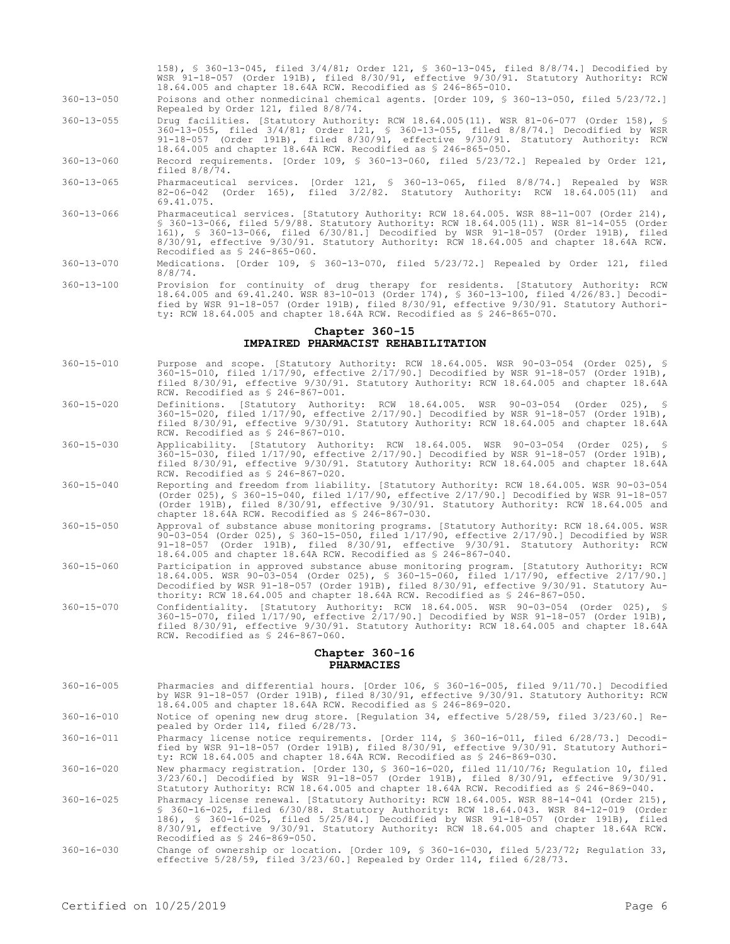158), § 360-13-045, filed 3/4/81; Order 121, § 360-13-045, filed 8/8/74.] Decodified by WSR 91-18-057 (Order 191B), filed 8/30/91, effective 9/30/91. Statutory Authority: RCW 18.64.005 and chapter 18.64A RCW. Recodified as § 246-865-010.

- 360-13-050 Poisons and other nonmedicinal chemical agents. [Order 109, § 360-13-050, filed 5/23/72.] Repealed by Order 121, filed 8/8/74.
- 360-13-055 Drug facilities. [Statutory Authority: RCW 18.64.005(11). WSR 81-06-077 (Order 158), § 360-13-055, filed 3/4/81; Order 121, § 360-13-055, filed 8/8/74.] Decodified by WSR 91-18-057 (Order 191B), filed 8/30/91, effective 9/30/91. Statutory Authority: RCW 18.64.005 and chapter 18.64A RCW. Recodified as § 246-865-050.
- 360-13-060 Record requirements. [Order 109, § 360-13-060, filed 5/23/72.] Repealed by Order 121, filed 8/8/74.
- 360-13-065 Pharmaceutical services. [Order 121, § 360-13-065, filed 8/8/74.] Repealed by WSR 82-06-042 (Order 165), filed 3/2/82. Statutory Authority: RCW 18.64.005(11) and 69.41.075.
- 360-13-066 Pharmaceutical services. [Statutory Authority: RCW 18.64.005. WSR 88-11-007 (Order 214), § 360-13-066, filed 5/9/88. Statutory Authority: RCW 18.64.005(11). WSR 81-14-055 (Order 161), § 360-13-066, filed 6/30/81.] Decodified by WSR 91-18-057 (Order 191B), filed 8/30/91, effective 9/30/91. Statutory Authority: RCW 18.64.005 and chapter 18.64A RCW. Recodified as § 246-865-060.
- 360-13-070 Medications. [Order 109, § 360-13-070, filed 5/23/72.] Repealed by Order 121, filed 8/8/74.
- 360-13-100 Provision for continuity of drug therapy for residents. [Statutory Authority: RCW 18.64.005 and 69.41.240. WSR 83-10-013 (Order 174), § 360-13-100, filed 4/26/83.] Decodified by WSR 91-18-057 (Order 191B), filed 8/30/91, effective 9/30/91. Statutory Authority: RCW 18.64.005 and chapter 18.64A RCW. Recodified as § 246-865-070.

## **Chapter 360-15 IMPAIRED PHARMACIST REHABILITATION**

- 360-15-010 Purpose and scope. [Statutory Authority: RCW 18.64.005. WSR 90-03-054 (Order 025), § 360-15-010, filed 1/17/90, effective 2/17/90.] Decodified by WSR 91-18-057 (Order 191B), filed 8/30/91, effective 9/30/91. Statutory Authority: RCW 18.64.005 and chapter 18.64A RCW. Recodified as § 246-867-001.
- 360-15-020 Definitions. [Statutory Authority: RCW 18.64.005. WSR 90-03-054 (Order 025), § 360-15-020, filed 1/17/90, effective 2/17/90.] Decodified by WSR 91-18-057 (Order 191B), filed 8/30/91, effective 9/30/91. Statutory Authority: RCW 18.64.005 and chapter 18.64A RCW. Recodified as § 246-867-010.
- 360-15-030 Applicability. [Statutory Authority: RCW 18.64.005. WSR 90-03-054 (Order 025), § 360-15-030, filed 1/17/90, effective 2/17/90.] Decodified by WSR 91-18-057 (Order 191B), filed 8/30/91, effective 9/30/91. Statutory Authority: RCW 18.64.005 and chapter 18.64A RCW. Recodified as § 246-867-020.
- 360-15-040 Reporting and freedom from liability. [Statutory Authority: RCW 18.64.005. WSR 90-03-054 (Order 025), § 360-15-040, filed 1/17/90, effective 2/17/90.] Decodified by WSR 91-18-057 (Order 191B), filed 8/30/91, effective 9/30/91. Statutory Authority: RCW 18.64.005 and chapter 18.64A RCW. Recodified as § 246-867-030.
- 360-15-050 Approval of substance abuse monitoring programs. [Statutory Authority: RCW 18.64.005. WSR 90-03-054 (Order 025), § 360-15-050, filed 1/17/90, effective 2/17/90.] Decodified by WSR 91-18-057 (Order 191B), filed 8/30/91, effective 9/30/91. Statutory Authority: RCW 18.64.005 and chapter 18.64A RCW. Recodified as § 246-867-040.
- 360-15-060 Participation in approved substance abuse monitoring program. [Statutory Authority: RCW 18.64.005. WSR 90-03-054 (Order 025), § 360-15-060, filed 1/17/90, effective 2/17/90.] Decodified by WSR 91-18-057 (Order 191B), filed 8/30/91, effective 9/30/91. Statutory Authority: RCW 18.64.005 and chapter 18.64A RCW. Recodified as § 246-867-050.
- 360-15-070 Confidentiality. [Statutory Authority: RCW 18.64.005. WSR 90-03-054 (Order 025), § 360-15-070, filed 1/17/90, effective 2/17/90.] Decodified by WSR 91-18-057 (Order 191B), filed 8/30/91, effective 9/30/91. Statutory Authority: RCW 18.64.005 and chapter 18.64A RCW. Recodified as § 246-867-060.

#### **Chapter 360-16 PHARMACIES**

- 360-16-005 Pharmacies and differential hours. [Order 106, § 360-16-005, filed 9/11/70.] Decodified by WSR 91-18-057 (Order 191B), filed 8/30/91, effective 9/30/91. Statutory Authority: RCW 18.64.005 and chapter 18.64A RCW. Recodified as § 246-869-020.
- 360-16-010 Notice of opening new drug store. [Regulation 34, effective 5/28/59, filed 3/23/60.] Repealed by Order 114, filed 6/28/73.
- 360-16-011 Pharmacy license notice requirements. [Order 114, § 360-16-011, filed 6/28/73.] Decodified by WSR 91-18-057 (Order 191B), filed 8/30/91, effective 9/30/91. Statutory Authority: RCW 18.64.005 and chapter 18.64A RCW. Recodified as § 246-869-030.

360-16-020 New pharmacy registration. [Order 130, § 360-16-020, filed 11/10/76; Regulation 10, filed 3/23/60.] Decodified by WSR 91-18-057 (Order 191B), filed 8/30/91, effective 9/30/91. Statutory Authority: RCW 18.64.005 and chapter 18.64A RCW. Recodified as § 246-869-040.

- 360-16-025 Pharmacy license renewal. [Statutory Authority: RCW 18.64.005. WSR 88-14-041 (Order 215), § 360-16-025, filed 6/30/88. Statutory Authority: RCW 18.64.043. WSR 84-12-019 (Order 186), § 360-16-025, filed 5/25/84.] Decodified by WSR 91-18-057 (Order 191B), filed 8/30/91, effective 9/30/91. Statutory Authority: RCW 18.64.005 and chapter 18.64A RCW. Recodified as § 246-869-050.
- 360-16-030 Change of ownership or location. [Order 109, § 360-16-030, filed 5/23/72; Regulation 33, effective 5/28/59, filed 3/23/60.] Repealed by Order 114, filed 6/28/73.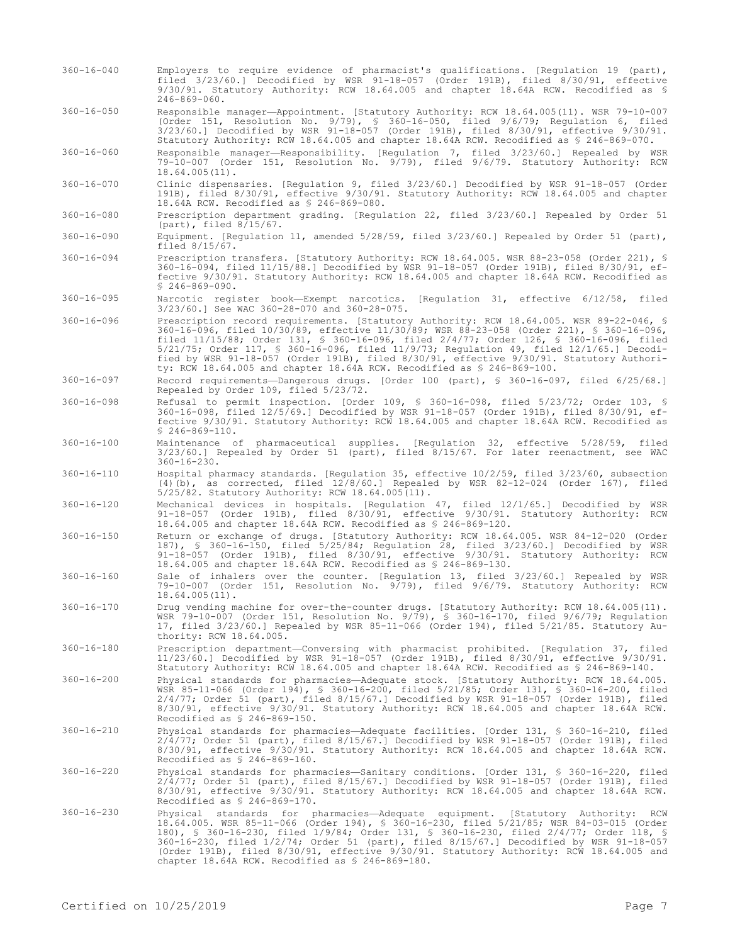- 360-16-040 Employers to require evidence of pharmacist's qualifications. [Regulation 19 (part), filed 3/23/60.] Decodified by WSR 91-18-057 (Order 191B), filed 8/30/91, effective 9/30/91. Statutory Authority: RCW 18.64.005 and chapter 18.64A RCW. Recodified as § 246-869-060.
- 360-16-050 Responsible manager—Appointment. [Statutory Authority: RCW 18.64.005(11). WSR 79-10-007 (Order 151, Resolution No. 9/79), § 360-16-050, filed 9/6/79; Regulation 6, filed 3/23/60.] Decodified by WSR 91-18-057 (Order 191B), filed 8/30/91, effective 9/30/91. Statutory Authority: RCW 18.64.005 and chapter 18.64A RCW. Recodified as § 246-869-070.
- 360-16-060 Responsible manager—Responsibility. [Regulation 7, filed 3/23/60.] Repealed by WSR 79-10-007 (Order 151, Resolution No. 9/79), filed 9/6/79. Statutory Authority: RCW 18.64.005(11).
- 360-16-070 Clinic dispensaries. [Regulation 9, filed 3/23/60.] Decodified by WSR 91-18-057 (Order 191B), filed 8/30/91, effective 9/30/91. Statutory Authority: RCW 18.64.005 and chapter 18.64A RCW. Recodified as § 246-869-080.
- 360-16-080 Prescription department grading. [Regulation 22, filed 3/23/60.] Repealed by Order 51 (part), filed 8/15/67.
- 360-16-090 Equipment. [Regulation 11, amended 5/28/59, filed 3/23/60.] Repealed by Order 51 (part), filed 8/15/67.
- 360-16-094 Prescription transfers. [Statutory Authority: RCW 18.64.005. WSR 88-23-058 (Order 221), § 360-16-094, filed 11/15/88.] Decodified by WSR 91-18-057 (Order 191B), filed 8/30/91, effective 9/30/91. Statutory Authority: RCW 18.64.005 and chapter 18.64A RCW. Recodified as  $$246 - 869 - 090$ .
- 360-16-095 Narcotic register book—Exempt narcotics. [Regulation 31, effective 6/12/58, filed 3/23/60.] See WAC 360-28-070 and 360-28-075.
- 360-16-096 Prescription record requirements. [Statutory Authority: RCW 18.64.005. WSR 89-22-046, § 360-16-096, filed 10/30/89, effective 11/30/89; WSR 88-23-058 (Order 221), § 360-16-096, filed 11/15/88; Order 131, § 360-16-096, filed 2/4/77; Order 126, § 360-16-096, filed 5/21/75; Order 117, § 360-16-096, filed 11/9/73; Regulation 49, filed 12/1/65.] Decodified by WSR 91-18-057 (Order 191B), filed 8/30/91, effective 9/30/91. Statutory Authority: RCW 18.64.005 and chapter 18.64A RCW. Recodified as § 246-869-100.
- 360-16-097 Record requirements—Dangerous drugs. [Order 100 (part), § 360-16-097, filed 6/25/68.] Repealed by Order 109, filed 5/23/72.
- 360-16-098 Refusal to permit inspection. [Order 109, § 360-16-098, filed 5/23/72; Order 103, § 360-16-098, filed 12/5/69.] Decodified by WSR 91-18-057 (Order 191B), filed 8/30/91, effective 9/30/91. Statutory Authority: RCW 18.64.005 and chapter 18.64A RCW. Recodified as § 246-869-110.
- 360-16-100 Maintenance of pharmaceutical supplies. [Regulation 32, effective 5/28/59, filed 3/23/60.] Repealed by Order 51 (part), filed 8/15/67. For later reenactment, see WAC 360-16-230.
- 360-16-110 Hospital pharmacy standards. [Regulation 35, effective 10/2/59, filed 3/23/60, subsection (4)(b), as corrected, filed 12/8/60.] Repealed by WSR 82-12-024 (Order 167), filed 5/25/82. Statutory Authority: RCW 18.64.005(11).
- 360-16-120 Mechanical devices in hospitals. [Regulation 47, filed 12/1/65.] Decodified by WSR 91-18-057 (Order 191B), filed 8/30/91, effective 9/30/91. Statutory Authority: RCW 18.64.005 and chapter 18.64A RCW. Recodified as § 246-869-120.
- 360-16-150 Return or exchange of drugs. [Statutory Authority: RCW 18.64.005. WSR 84-12-020 (Order 187), § 360-16-150, filed 5/25/84; Regulation 28, filed 3/23/60.] Decodified by WSR 91-18-057 (Order 191B), filed 8/30/91, effective 9/30/91. Statutory Authority: RCW 18.64.005 and chapter 18.64A RCW. Recodified as § 246-869-130.
- 360-16-160 Sale of inhalers over the counter. [Regulation 13, filed 3/23/60.] Repealed by WSR 79-10-007 (Order 151, Resolution No. 9/79), filed 9/6/79. Statutory Authority: RCW 18.64.005(11).
- 360-16-170 Drug vending machine for over-the-counter drugs. [Statutory Authority: RCW 18.64.005(11). WSR 79-10-007 (Order 151, Resolution No. 9/79), § 360-16-170, filed 9/6/79; Regulation 17, filed 3/23/60.] Repealed by WSR 85-11-066 (Order 194), filed 5/21/85. Statutory Authority: RCW 18.64.005.
- 360-16-180 Prescription department—Conversing with pharmacist prohibited. [Regulation 37, filed 11/23/60.] Decodified by WSR 91-18-057 (Order 191B), filed 8/30/91, effective 9/30/91. Statutory Authority: RCW 18.64.005 and chapter 18.64A RCW. Recodified as § 246-869-140.
- 360-16-200 Physical standards for pharmacies—Adequate stock. [Statutory Authority: RCW 18.64.005. WSR 85-11-066 (Order 194), § 360-16-200, filed 5/21/85; Order 131, § 360-16-200, filed 2/4/77; Order 51 (part), filed 8/15/67.] Decodified by WSR 91-18-057 (Order 191B), filed 8/30/91, effective 9/30/91. Statutory Authority: RCW 18.64.005 and chapter 18.64A RCW. Recodified as § 246-869-150.
- 360-16-210 Physical standards for pharmacies—Adequate facilities. [Order 131, § 360-16-210, filed 2/4/77; Order 51 (part), filed 8/15/67.] Decodified by WSR 91-18-057 (Order 191B), filed 8/30/91, effective 9/30/91. Statutory Authority: RCW 18.64.005 and chapter 18.64A RCW. Recodified as § 246-869-160.
- 360-16-220 Physical standards for pharmacies—Sanitary conditions. [Order 131, § 360-16-220, filed 2/4/77; Order 51 (part), filed 8/15/67.] Decodified by WSR 91-18-057 (Order 191B), filed 8/30/91, effective 9/30/91. Statutory Authority: RCW 18.64.005 and chapter 18.64A RCW. Recodified as § 246-869-170.
- 360-16-230 Physical standards for pharmacies—Adequate equipment. [Statutory Authority: RCW 18.64.005. WSR 85-11-066 (Order 194), § 360-16-230, filed 5/21/85; WSR 84-03-015 (Order 180), § 360-16-230, filed 1/9/84; Order 131, § 360-16-230, filed 2/4/77; Order 118, § 360-16-230, filed 1/2/74; Order 51 (part), filed 8/15/67.] Decodified by WSR 91-18-057 (Order 191B), filed 8/30/91, effective 9/30/91. Statutory Authority: RCW 18.64.005 and chapter 18.64A RCW. Recodified as § 246-869-180.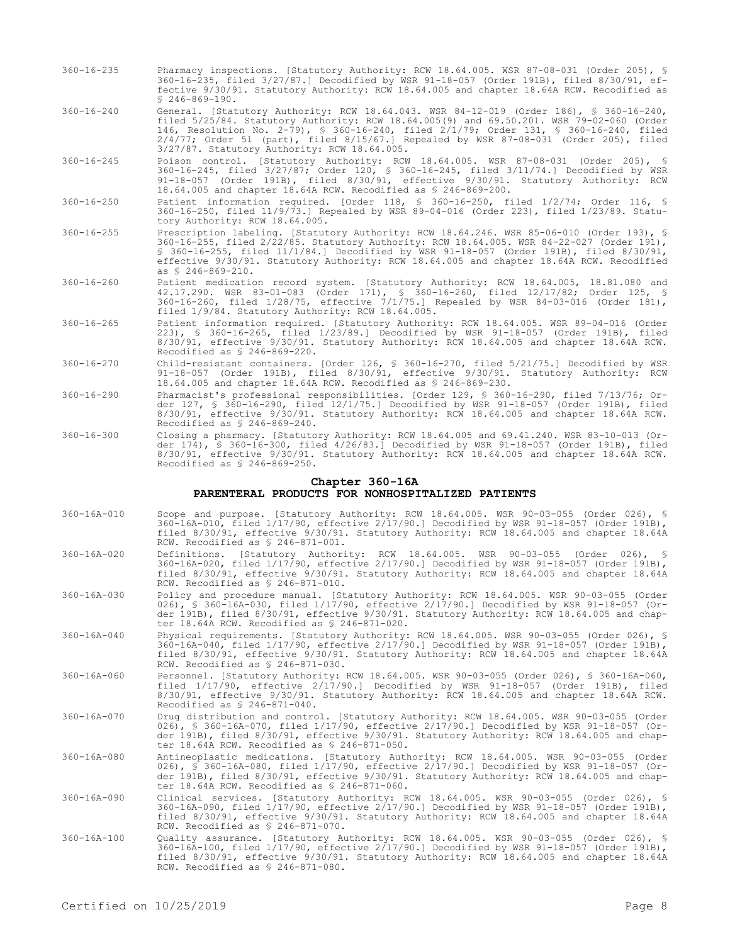- 360-16-235 Pharmacy inspections. [Statutory Authority: RCW 18.64.005. WSR 87-08-031 (Order 205), § 360-16-235, filed 3/27/87.] Decodified by WSR 91-18-057 (Order 191B), filed 8/30/91, effective 9/30/91. Statutory Authority: RCW 18.64.005 and chapter 18.64A RCW. Recodified as § 246-869-190.
- 360-16-240 General. [Statutory Authority: RCW 18.64.043. WSR 84-12-019 (Order 186), § 360-16-240, filed 5/25/84. Statutory Authority: RCW 18.64.005(9) and 69.50.201. WSR 79-02-060 (Order 146, Resolution No. 2-79), § 360-16-240, filed 2/1/79; Order 131, § 360-16-240, filed 2/4/77; Order 51 (part), filed 8/15/67.] Repealed by WSR 87-08-031 (Order 205), filed 3/27/87. Statutory Authority: RCW 18.64.005.
- 360-16-245 Poison control. [Statutory Authority: RCW 18.64.005. WSR 87-08-031 (Order 205), § 360-16-245, filed 3/27/87; Order 120, § 360-16-245, filed 3/11/74.] Decodified by WSR 91-18-057 (Order 191B), filed 8/30/91, effective 9/30/91. Statutory Authority: RCW 18.64.005 and chapter 18.64A RCW. Recodified as § 246-869-200.
- 360-16-250 Patient information required. [Order 118, § 360-16-250, filed 1/2/74; Order 116, § 360-16-250, filed 11/9/73.] Repealed by WSR 89-04-016 (Order 223), filed 1/23/89. Statutory Authority: RCW 18.64.005.
- 360-16-255 Prescription labeling. [Statutory Authority: RCW 18.64.246. WSR 85-06-010 (Order 193), § 360-16-255, filed 2/22/85. Statutory Authority: RCW 18.64.005. WSR 84-22-027 (Order 191), § 360-16-255, filed 11/1/84.] Decodified by WSR 91-18-057 (Order 191B), filed 8/30/91, effective 9/30/91. Statutory Authority: RCW 18.64.005 and chapter 18.64A RCW. Recodified as § 246-869-210.
- 360-16-260 Patient medication record system. [Statutory Authority: RCW 18.64.005, 18.81.080 and 42.17.290. WSR 83-01-083 (Order 171), § 360-16-260, filed 12/17/82; Order 125, § 360-16-260, filed 1/28/75, effective 7/1/75.] Repealed by WSR 84-03-016 (Order 181), filed 1/9/84. Statutory Authority: RCW 18.64.005.
- 360-16-265 Patient information required. [Statutory Authority: RCW 18.64.005. WSR 89-04-016 (Order 223), § 360-16-265, filed 1/23/89.] Decodified by WSR 91-18-057 (Order 191B), filed 8/30/91, effective 9/30/91. Statutory Authority: RCW 18.64.005 and chapter 18.64A RCW. Recodified as § 246-869-220.
- 360-16-270 Child-resistant containers. [Order 126, § 360-16-270, filed 5/21/75.] Decodified by WSR 91-18-057 (Order 191B), filed 8/30/91, effective 9/30/91. Statutory Authority: RCW 18.64.005 and chapter 18.64A RCW. Recodified as § 246-869-230.
- 360-16-290 Pharmacist's professional responsibilities. [Order 129, § 360-16-290, filed 7/13/76; Order 127, § 360-16-290, filed 12/1/75.] Decodified by WSR 91-18-057 (Order 191B), filed 8/30/91, effective 9/30/91. Statutory Authority: RCW 18.64.005 and chapter 18.64A RCW. Recodified as § 246-869-240.
- 360-16-300 Closing a pharmacy. [Statutory Authority: RCW 18.64.005 and 69.41.240. WSR 83-10-013 (Order 174), § 360-16-300, filed 4/26/83.] Decodified by WSR 91-18-057 (Order 191B), filed 8/30/91, effective 9/30/91. Statutory Authority: RCW 18.64.005 and chapter 18.64A RCW. Recodified as § 246-869-250.

### **Chapter 360-16A PARENTERAL PRODUCTS FOR NONHOSPITALIZED PATIENTS**

- 360-16A-010 Scope and purpose. [Statutory Authority: RCW 18.64.005. WSR 90-03-055 (Order 026), § 360-16A-010, filed 1/17/90, effective 2/17/90.] Decodified by WSR 91-18-057 (Order 191B), filed 8/30/91, effective 9/30/91. Statutory Authority: RCW 18.64.005 and chapter 18.64A RCW. Recodified as § 246-871-001.
- 360-16A-020 Definitions. [Statutory Authority: RCW 18.64.005. WSR 90-03-055 (Order 026), § 360-16A-020, filed 1/17/90, effective 2/17/90.] Decodified by WSR 91-18-057 (Order 191B), filed 8/30/91, effective 9/30/91. Statutory Authority: RCW 18.64.005 and chapter 18.64A RCW. Recodified as § 246-871-010.
- 360-16A-030 Policy and procedure manual. [Statutory Authority: RCW 18.64.005. WSR 90-03-055 (Order 026), § 360-16A-030, filed 1/17/90, effective 2/17/90.] Decodified by WSR 91-18-057 (Order 191B), filed 8/30/91, effective 9/30/91. Statutory Authority: RCW 18.64.005 and chapter 18.64A RCW. Recodified as § 246-871-020.
- 360-16A-040 Physical requirements. [Statutory Authority: RCW 18.64.005. WSR 90-03-055 (Order 026), § 360-16A-040, filed 1/17/90, effective 2/17/90.] Decodified by WSR 91-18-057 (Order 191B), filed 8/30/91, effective 9/30/91. Statutory Authority: RCW 18.64.005 and chapter 18.64A RCW. Recodified as § 246-871-030.
- 360-16A-060 Personnel. [Statutory Authority: RCW 18.64.005. WSR 90-03-055 (Order 026), § 360-16A-060, filed 1/17/90, effective 2/17/90.] Decodified by WSR 91-18-057 (Order 191B), filed 8/30/91, effective 9/30/91. Statutory Authority: RCW 18.64.005 and chapter 18.64A RCW. Recodified as § 246-871-040.
- 360-16A-070 Drug distribution and control. [Statutory Authority: RCW 18.64.005. WSR 90-03-055 (Order 026), § 360-16A-070, filed 1/17/90, effective 2/17/90.] Decodified by WSR 91-18-057 (Order 191B), filed 8/30/91, effective 9/30/91. Statutory Authority: RCW 18.64.005 and chapter 18.64A RCW. Recodified as § 246-871-050.
- 360-16A-080 Antineoplastic medications. [Statutory Authority: RCW 18.64.005. WSR 90-03-055 (Order 026), § 360-16A-080, filed 1/17/90, effective 2/17/90.] Decodified by WSR 91-18-057 (Order 191B), filed 8/30/91, effective 9/30/91. Statutory Authority: RCW 18.64.005 and chapter 18.64A RCW. Recodified as § 246-871-060.
- 360-16A-090 Clinical services. [Statutory Authority: RCW 18.64.005. WSR 90-03-055 (Order 026), § 360-16A-090, filed 1/17/90, effective 2/17/90.] Decodified by WSR 91-18-057 (Order 191B), filed 8/30/91, effective 9/30/91. Statutory Authority: RCW 18.64.005 and chapter 18.64A RCW. Recodified as § 246-871-070.
- 360-16A-100 Quality assurance. [Statutory Authority: RCW 18.64.005. WSR 90-03-055 (Order 026), § 360-16A-100, filed 1/17/90, effective 2/17/90.] Decodified by WSR 91-18-057 (Order 191B), filed 8/30/91, effective 9/30/91. Statutory Authority: RCW 18.64.005 and chapter 18.64A RCW. Recodified as § 246-871-080.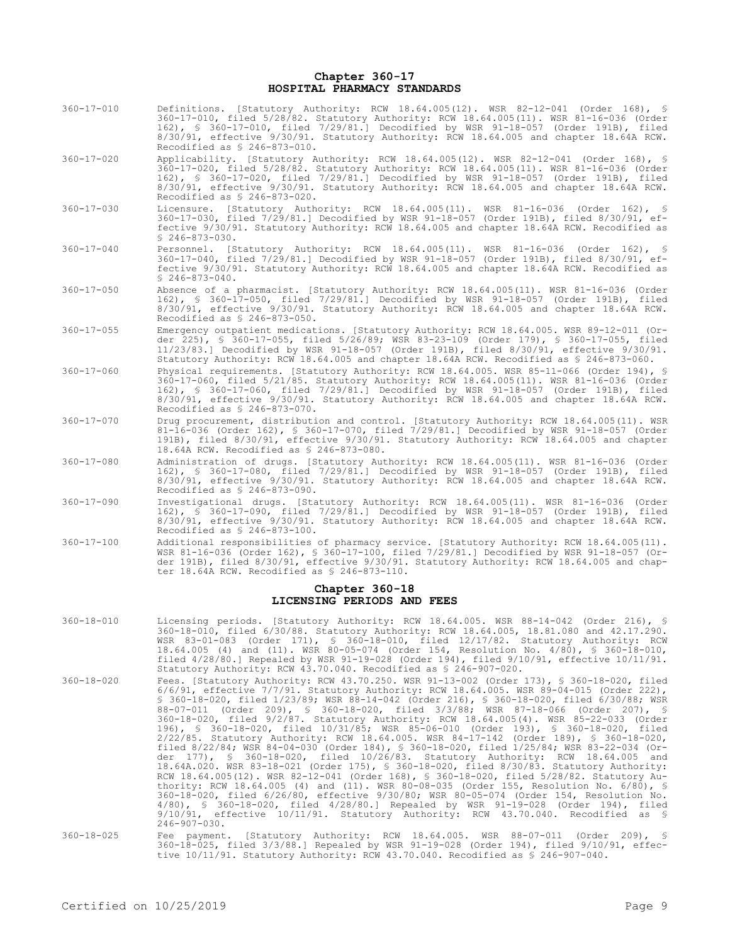### **Chapter 360-17 HOSPITAL PHARMACY STANDARDS**

- 360-17-010 Definitions. [Statutory Authority: RCW 18.64.005(12). WSR 82-12-041 (Order 168), § 360-17-010, filed 5/28/82. Statutory Authority: RCW 18.64.005(11). WSR 81-16-036 (Order 162), § 360-17-010, filed 7/29/81.] Decodified by WSR 91-18-057 (Order 191B), filed 8/30/91, effective 9/30/91. Statutory Authority: RCW 18.64.005 and chapter 18.64A RCW. Recodified as § 246-873-010.
- 360-17-020 Applicability. [Statutory Authority: RCW 18.64.005(12). WSR 82-12-041 (Order 168), § 360-17-020, filed 5/28/82. Statutory Authority: RCW 18.64.005(11). WSR 81-16-036 (Order 162), § 360-17-020, filed 7/29/81.] Decodified by WSR 91-18-057 (Order 191B), filed 8/30/91, effective 9/30/91. Statutory Authority: RCW 18.64.005 and chapter 18.64A RCW. Recodified as § 246-873-020.
- 360-17-030 Licensure. [Statutory Authority: RCW 18.64.005(11). WSR 81-16-036 (Order 162), § 360-17-030, filed 7/29/81.] Decodified by WSR 91-18-057 (Order 191B), filed 8/30/91, effective 9/30/91. Statutory Authority: RCW 18.64.005 and chapter 18.64A RCW. Recodified as § 246-873-030.
- 360-17-040 Personnel. [Statutory Authority: RCW 18.64.005(11). WSR 81-16-036 (Order 162), § 360-17-040, filed 7/29/81.] Decodified by WSR 91-18-057 (Order 191B), filed 8/30/91, effective 9/30/91. Statutory Authority: RCW 18.64.005 and chapter 18.64A RCW. Recodified as  $$246-873-040.$
- 360-17-050 Absence of a pharmacist. [Statutory Authority: RCW 18.64.005(11). WSR 81-16-036 (Order 162), § 360-17-050, filed 7/29/81.] Decodified by WSR 91-18-057 (Order 191B), filed 8/30/91, effective 9/30/91. Statutory Authority: RCW 18.64.005 and chapter 18.64A RCW. Recodified as § 246-873-050.
- 360-17-055 Emergency outpatient medications. [Statutory Authority: RCW 18.64.005. WSR 89-12-011 (Order 225), § 360-17-055, filed 5/26/89; WSR 83-23-109 (Order 179), § 360-17-055, filed 11/23/83.] Decodified by WSR 91-18-057 (Order 191B), filed 8/30/91, effective 9/30/91. Statutory Authority: RCW 18.64.005 and chapter 18.64A RCW. Recodified as § 246-873-060.
- 360-17-060 Physical requirements. [Statutory Authority: RCW 18.64.005. WSR 85-11-066 (Order 194), § 360-17-060, filed 5/21/85. Statutory Authority: RCW 18.64.005(11). WSR 81-16-036 (Order 162), § 360-17-060, filed 7/29/81.] Decodified by WSR 91-18-057 (Order 191B), filed 8/30/91, effective 9/30/91. Statutory Authority: RCW 18.64.005 and chapter 18.64A RCW. Recodified as § 246-873-070.
- 360-17-070 Drug procurement, distribution and control. [Statutory Authority: RCW 18.64.005(11). WSR 81-16-036 (Order 162), § 360-17-070, filed 7/29/81.] Decodified by WSR 91-18-057 (Order 191B), filed 8/30/91, effective 9/30/91. Statutory Authority: RCW 18.64.005 and chapter 18.64A RCW. Recodified as § 246-873-080.
- 360-17-080 Administration of drugs. [Statutory Authority: RCW 18.64.005(11). WSR 81-16-036 (Order 162), § 360-17-080, filed 7/29/81.] Decodified by WSR 91-18-057 (Order 191B), filed 8/30/91, effective 9/30/91. Statutory Authority: RCW 18.64.005 and chapter 18.64A RCW. Recodified as § 246-873-090.
- 360-17-090 Investigational drugs. [Statutory Authority: RCW 18.64.005(11). WSR 81-16-036 (Order 162), § 360-17-090, filed 7/29/81.] Decodified by WSR 91-18-057 (Order 191B), filed 8/30/91, effective 9/30/91. Statutory Authority: RCW 18.64.005 and chapter 18.64A RCW. Recodified as § 246-873-100.
- 360-17-100 Additional responsibilities of pharmacy service. [Statutory Authority: RCW 18.64.005(11). WSR 81-16-036 (Order 162), § 360-17-100, filed 7/29/81.] Decodified by WSR 91-18-057 (Order 191B), filed 8/30/91, effective 9/30/91. Statutory Authority: RCW 18.64.005 and chapter 18.64A RCW. Recodified as § 246-873-110.

# **Chapter 360-18 LICENSING PERIODS AND FEES**

- 360-18-010 Licensing periods. [Statutory Authority: RCW 18.64.005. WSR 88-14-042 (Order 216), § 360-18-010, filed 6/30/88. Statutory Authority: RCW 18.64.005, 18.81.080 and 42.17.290. WSR 83-01-083 (Order 171), § 360-18-010, filed 12/17/82. Statutory Authority: RCW 18.64.005 (4) and (11). WSR 80-05-074 (Order 154, Resolution No. 4/80), § 360-18-010, filed 4/28/80.] Repealed by WSR 91-19-028 (Order 194), filed 9/10/91, effective 10/11/91. Statutory Authority: RCW 43.70.040. Recodified as § 246-907-020.
- 360-18-020 Fees. [Statutory Authority: RCW 43.70.250. WSR 91-13-002 (Order 173), § 360-18-020, filed 6/6/91, effective 7/7/91. Statutory Authority: RCW 18.64.005. WSR 89-04-015 (Order 222), § 360-18-020, filed 1/23/89; WSR 88-14-042 (Order 216), § 360-18-020, filed 6/30/88; WSR 88-07-011 (Order 209), § 360-18-020, filed 3/3/88; WSR 87-18-066 (Order 207), § 360-18-020, filed 9/2/87. Statutory Authority: RCW 18.64.005(4). WSR 85-22-033 (Order 196), § 360-18-020, filed 10/31/85; WSR 85-06-010 (Order 193), § 360-18-020, filed 2/22/85. Statutory Authority: RCW 18.64.005. WSR 84-17-142 (Order 189), § 360-18-020, filed 8/22/84; WSR 84-04-030 (Order 184), § 360-18-020, filed 1/25/84; WSR 83-22-034 (Order 177), § 360-18-020, filed 10/26/83. Statutory Authority: RCW 18.64.005 and 18.64A.020. WSR 83-18-021 (Order 175), § 360-18-020, filed 8/30/83. Statutory Authority: RCW 18.64.005(12). WSR 82-12-041 (Order 168), § 360-18-020, filed 5/28/82. Statutory Authority: RCW 18.64.005 (4) and (11). WSR 80-08-035 (Order 155, Resolution No. 6/80), § 360-18-020, filed 6/26/80, effective 9/30/80; WSR 80-05-074 (Order 154, Resolution No. 4/80), § 360-18-020, filed 4/28/80.] Repealed by WSR 91-19-028 (Order 194), filed 9/10/91, effective 10/11/91. Statutory Authority: RCW 43.70.040. Recodified as § 246-907-030.
- 360-18-025 Fee payment. [Statutory Authority: RCW 18.64.005. WSR 88-07-011 (Order 209), § 360-18-025, filed 3/3/88.] Repealed by WSR 91-19-028 (Order 194), filed 9/10/91, effective 10/11/91. Statutory Authority: RCW 43.70.040. Recodified as § 246-907-040.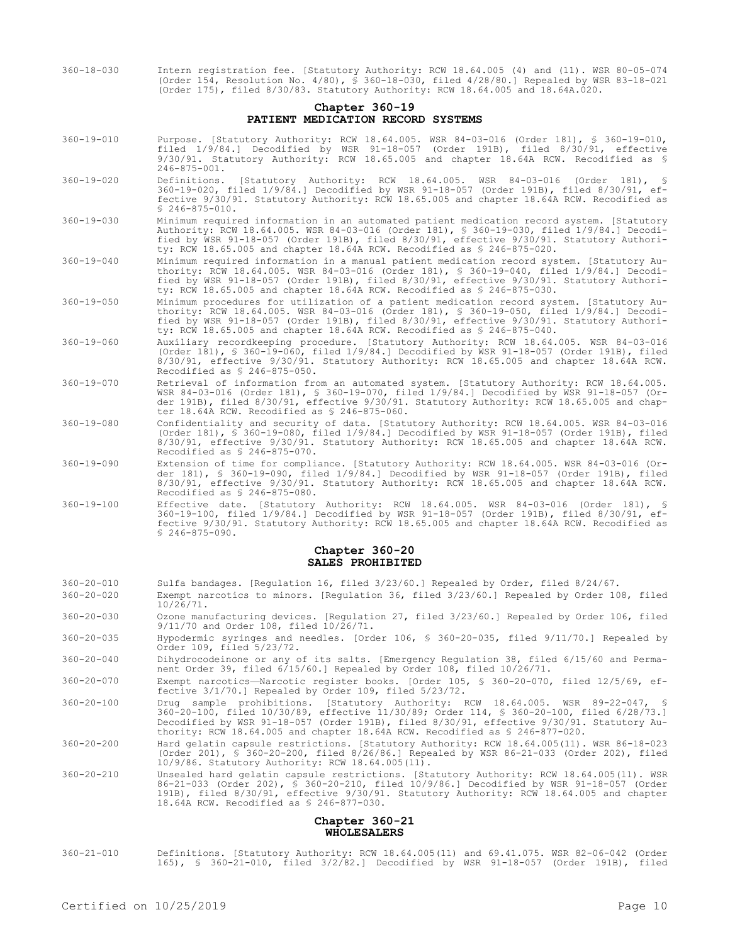360-18-030 Intern registration fee. [Statutory Authority: RCW 18.64.005 (4) and (11). WSR 80-05-074 (Order 154, Resolution No. 4/80), § 360-18-030, filed 4/28/80.] Repealed by WSR 83-18-021 (Order 175), filed 8/30/83. Statutory Authority: RCW 18.64.005 and 18.64A.020.

## **Chapter 360-19 PATIENT MEDICATION RECORD SYSTEMS**

- 360-19-010 Purpose. [Statutory Authority: RCW 18.64.005. WSR 84-03-016 (Order 181), § 360-19-010, filed 1/9/84.] Decodified by WSR 91-18-057 (Order 191B), filed 8/30/91, effective 9/30/91. Statutory Authority: RCW 18.65.005 and chapter 18.64A RCW. Recodified as § 246-875-001.
- 360-19-020 Definitions. [Statutory Authority: RCW 18.64.005. WSR 84-03-016 (Order 181), § 360-19-020, filed 1/9/84.] Decodified by WSR 91-18-057 (Order 191B), filed 8/30/91, effective 9/30/91. Statutory Authority: RCW 18.65.005 and chapter 18.64A RCW. Recodified as  $$246-875-010$ .
- 360-19-030 Minimum required information in an automated patient medication record system. [Statutory Authority: RCW 18.64.005. WSR 84-03-016 (Order 181), § 360-19-030, filed 1/9/84.] Decodified by WSR 91-18-057 (Order 191B), filed 8/30/91, effective 9/30/91. Statutory Authority: RCW 18.65.005 and chapter 18.64A RCW. Recodified as § 246-875-020.
- 360-19-040 Minimum required information in a manual patient medication record system. [Statutory Authority: RCW 18.64.005. WSR 84-03-016 (Order 181), § 360-19-040, filed 1/9/84.] Decodified by WSR 91-18-057 (Order 191B), filed 8/30/91, effective 9/30/91. Statutory Authority: RCW 18.65.005 and chapter 18.64A RCW. Recodified as § 246-875-030.
- 360-19-050 Minimum procedures for utilization of a patient medication record system. [Statutory Authority: RCW 18.64.005. WSR 84-03-016 (Order 181), § 360-19-050, filed 1/9/84.] Decodified by WSR 91-18-057 (Order 191B), filed 8/30/91, effective 9/30/91. Statutory Authority: RCW 18.65.005 and chapter 18.64A RCW. Recodified as § 246-875-040.
- 360-19-060 Auxiliary recordkeeping procedure. [Statutory Authority: RCW 18.64.005. WSR 84-03-016 (Order 181), § 360-19-060, filed 1/9/84.] Decodified by WSR 91-18-057 (Order 191B), filed 8/30/91, effective 9/30/91. Statutory Authority: RCW 18.65.005 and chapter 18.64A RCW. Recodified as § 246-875-050.
- 360-19-070 Retrieval of information from an automated system. [Statutory Authority: RCW 18.64.005. WSR 84-03-016 (Order 181), § 360-19-070, filed 1/9/84.] Decodified by WSR 91-18-057 (Order 191B), filed 8/30/91, effective 9/30/91. Statutory Authority: RCW 18.65.005 and chapter 18.64A RCW. Recodified as § 246-875-060.
- 360-19-080 Confidentiality and security of data. [Statutory Authority: RCW 18.64.005. WSR 84-03-016 (Order 181), § 360-19-080, filed 1/9/84.] Decodified by WSR 91-18-057 (Order 191B), filed 8/30/91, effective 9/30/91. Statutory Authority: RCW 18.65.005 and chapter 18.64A RCW. Recodified as § 246-875-070.
- 360-19-090 Extension of time for compliance. [Statutory Authority: RCW 18.64.005. WSR 84-03-016 (Order 181), § 360-19-090, filed 1/9/84.] Decodified by WSR 91-18-057 (Order 191B), filed 8/30/91, effective 9/30/91. Statutory Authority: RCW 18.65.005 and chapter 18.64A RCW. Recodified as § 246-875-080.
- 360-19-100 Effective date. [Statutory Authority: RCW 18.64.005. WSR 84-03-016 (Order 181), § 360-19-100, filed 1/9/84.] Decodified by WSR 91-18-057 (Order 191B), filed 8/30/91, effective 9/30/91. Statutory Authority: RCW 18.65.005 and chapter 18.64A RCW. Recodified as  $$246-875-090.$

## **Chapter 360-20 SALES PROHIBITED**

- 360-20-010 Sulfa bandages. [Regulation 16, filed 3/23/60.] Repealed by Order, filed 8/24/67.
- 360-20-020 Exempt narcotics to minors. [Regulation 36, filed 3/23/60.] Repealed by Order 108, filed 10/26/71.
- 360-20-030 Ozone manufacturing devices. [Regulation 27, filed 3/23/60.] Repealed by Order 106, filed 9/11/70 and Order 108, filed 10/26/71.
- 360-20-035 Hypodermic syringes and needles. [Order 106, § 360-20-035, filed 9/11/70.] Repealed by Order 109, filed 5/23/72.
- 360-20-040 Dihydrocodeinone or any of its salts. [Emergency Regulation 38, filed 6/15/60 and Permanent Order 39, filed 6/15/60.] Repealed by Order 108, filed 10/26/71.
- 360-20-070 Exempt narcotics—Narcotic register books. [Order 105, § 360-20-070, filed 12/5/69, effective 3/1/70.] Repealed by Order 109, filed 5/23/72.
- 360-20-100 Drug sample prohibitions. [Statutory Authority: RCW 18.64.005. WSR 89-22-047, § 360-20-100, filed 10/30/89, effective 11/30/89; Order 114, § 360-20-100, filed 6/28/73.] Decodified by WSR 91-18-057 (Order 191B), filed 8/30/91, effective 9/30/91. Statutory Authority: RCW 18.64.005 and chapter 18.64A RCW. Recodified as § 246-877-020.
- 360-20-200 Hard gelatin capsule restrictions. [Statutory Authority: RCW 18.64.005(11). WSR 86-18-023 (Order 201), § 360-20-200, filed 8/26/86.] Repealed by WSR 86-21-033 (Order 202), filed 10/9/86. Statutory Authority: RCW 18.64.005(11).
- 360-20-210 Unsealed hard gelatin capsule restrictions. [Statutory Authority: RCW 18.64.005(11). WSR 86-21-033 (Order 202), § 360-20-210, filed 10/9/86.] Decodified by WSR 91-18-057 (Order 191B), filed 8/30/91, effective 9/30/91. Statutory Authority: RCW 18.64.005 and chapter 18.64A RCW. Recodified as § 246-877-030.

## **Chapter 360-21 WHOLESALERS**

360-21-010 Definitions. [Statutory Authority: RCW 18.64.005(11) and 69.41.075. WSR 82-06-042 (Order 165), § 360-21-010, filed 3/2/82.] Decodified by WSR 91-18-057 (Order 191B), filed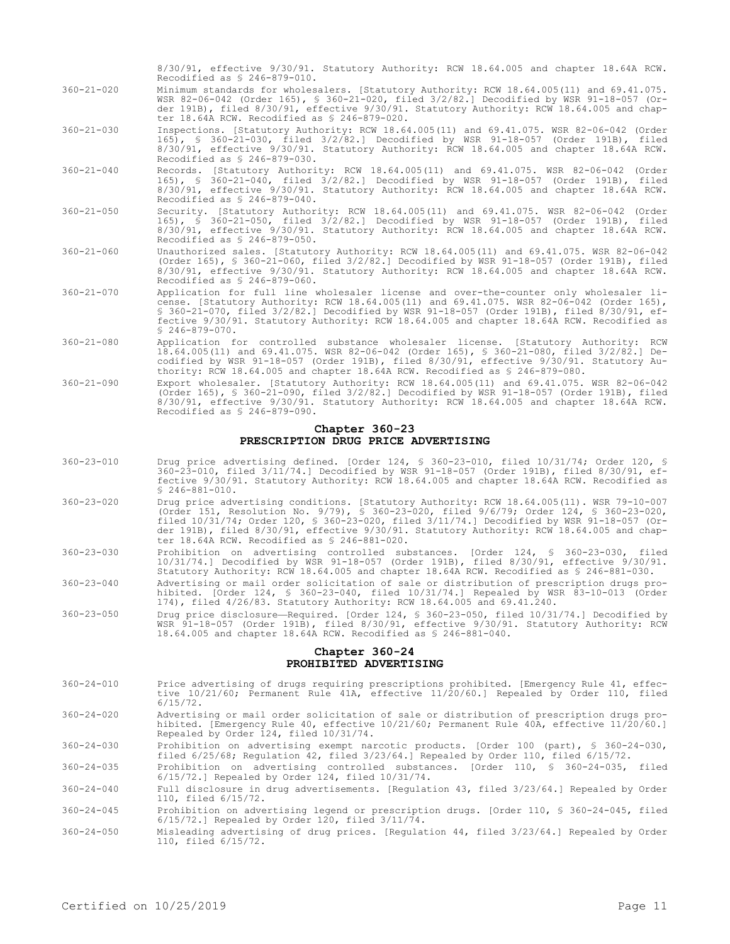8/30/91, effective 9/30/91. Statutory Authority: RCW 18.64.005 and chapter 18.64A RCW. Recodified as § 246-879-010.

- 360-21-020 Minimum standards for wholesalers. [Statutory Authority: RCW 18.64.005(11) and 69.41.075. WSR 82-06-042 (Order 165), § 360-21-020, filed 3/2/82.] Decodified by WSR 91-18-057 (Order 191B), filed 8/30/91, effective 9/30/91. Statutory Authority: RCW 18.64.005 and chapter 18.64A RCW. Recodified as § 246-879-020.
- 360-21-030 Inspections. [Statutory Authority: RCW 18.64.005(11) and 69.41.075. WSR 82-06-042 (Order 165), § 360-21-030, filed 3/2/82.] Decodified by WSR 91-18-057 (Order 191B), filed 8/30/91, effective 9/30/91. Statutory Authority: RCW 18.64.005 and chapter 18.64A RCW. Recodified as § 246-879-030.
- 360-21-040 Records. [Statutory Authority: RCW 18.64.005(11) and 69.41.075. WSR 82-06-042 (Order 165), § 360-21-040, filed 3/2/82.] Decodified by WSR 91-18-057 (Order 191B), filed 8/30/91, effective 9/30/91. Statutory Authority: RCW 18.64.005 and chapter 18.64A RCW. Recodified as § 246-879-040.
- 360-21-050 Security. [Statutory Authority: RCW 18.64.005(11) and 69.41.075. WSR 82-06-042 (Order 165), § 360-21-050, filed 3/2/82.] Decodified by WSR 91-18-057 (Order 191B), filed 8/30/91, effective 9/30/91. Statutory Authority: RCW 18.64.005 and chapter 18.64A RCW. Recodified as § 246-879-050.
- 360-21-060 Unauthorized sales. [Statutory Authority: RCW 18.64.005(11) and 69.41.075. WSR 82-06-042 (Order 165), § 360-21-060, filed 3/2/82.] Decodified by WSR 91-18-057 (Order 191B), filed 8/30/91, effective 9/30/91. Statutory Authority: RCW 18.64.005 and chapter 18.64A RCW. Recodified as § 246-879-060.
- 360-21-070 Application for full line wholesaler license and over-the-counter only wholesaler license. [Statutory Authority: RCW 18.64.005(11) and 69.41.075. WSR 82-06-042 (Order 165), § 360-21-070, filed 3/2/82.] Decodified by WSR 91-18-057 (Order 191B), filed 8/30/91, effective 9/30/91. Statutory Authority: RCW 18.64.005 and chapter 18.64A RCW. Recodified as § 246-879-070.
- 360-21-080 Application for controlled substance wholesaler license. [Statutory Authority: RCW 18.64.005(11) and 69.41.075. WSR 82-06-042 (Order 165), § 360-21-080, filed 3/2/82.] Decodified by WSR 91-18-057 (Order 191B), filed 8/30/91, effective 9/30/91. Statutory Authority: RCW 18.64.005 and chapter 18.64A RCW. Recodified as § 246-879-080.
- 360-21-090 Export wholesaler. [Statutory Authority: RCW 18.64.005(11) and 69.41.075. WSR 82-06-042 (Order 165), § 360-21-090, filed 3/2/82.] Decodified by WSR 91-18-057 (Order 191B), filed 8/30/91, effective 9/30/91. Statutory Authority: RCW 18.64.005 and chapter 18.64A RCW. Recodified as § 246-879-090.

#### **Chapter 360-23 PRESCRIPTION DRUG PRICE ADVERTISING**

- 360-23-010 Drug price advertising defined. [Order 124, § 360-23-010, filed 10/31/74; Order 120, § 360-23-010, filed 3/11/74.] Decodified by WSR 91-18-057 (Order 191B), filed 8/30/91, effective 9/30/91. Statutory Authority: RCW 18.64.005 and chapter 18.64A RCW. Recodified as § 246-881-010.
- 360-23-020 Drug price advertising conditions. [Statutory Authority: RCW 18.64.005(11). WSR 79-10-007 (Order 151, Resolution No. 9/79), § 360-23-020, filed 9/6/79; Order 124, § 360-23-020, filed 10/31/74; Order 120, § 360-23-020, filed 3/11/74.] Decodified by WSR 91-18-057 (Order 191B), filed 8/30/91, effective 9/30/91. Statutory Authority: RCW 18.64.005 and chapter 18.64A RCW. Recodified as § 246-881-020.
- 360-23-030 Prohibition on advertising controlled substances. [Order 124, § 360-23-030, filed 10/31/74.] Decodified by WSR 91-18-057 (Order 191B), filed 8/30/91, effective 9/30/91. Statutory Authority: RCW 18.64.005 and chapter 18.64A RCW. Recodified as § 246-881-030.
- 360-23-040 Advertising or mail order solicitation of sale or distribution of prescription drugs prohibited. [Order 124, § 360-23-040, filed 10/31/74.] Repealed by WSR 83-10-013 (Order 174), filed 4/26/83. Statutory Authority: RCW 18.64.005 and 69.41.240.
- 360-23-050 Drug price disclosure—Required. [Order 124, § 360-23-050, filed 10/31/74.] Decodified by WSR 91-18-057 (Order 191B), filed 8/30/91, effective 9/30/91. Statutory Authority: RCW 18.64.005 and chapter 18.64A RCW. Recodified as § 246-881-040.

### **Chapter 360-24 PROHIBITED ADVERTISING**

- 360-24-010 Price advertising of drugs requiring prescriptions prohibited. [Emergency Rule 41, effective 10/21/60; Permanent Rule 41A, effective 11/20/60.] Repealed by Order 110, filed 6/15/72.
- 360-24-020 Advertising or mail order solicitation of sale or distribution of prescription drugs prohibited. [Emergency Rule 40, effective 10/21/60; Permanent Rule 40A, effective 11/20/60.] Repealed by Order 124, filed 10/31/74.
- 360-24-030 Prohibition on advertising exempt narcotic products. [Order 100 (part), § 360-24-030, filed 6/25/68; Regulation 42, filed 3/23/64.] Repealed by Order 110, filed 6/15/72.

360-24-035 Prohibition on advertising controlled substances. [Order 110, § 360-24-035, filed 6/15/72.] Repealed by Order 124, filed 10/31/74.

360-24-040 Full disclosure in drug advertisements. [Regulation 43, filed 3/23/64.] Repealed by Order 110, filed 6/15/72.

360-24-045 Prohibition on advertising legend or prescription drugs. [Order 110, § 360-24-045, filed 6/15/72.] Repealed by Order 120, filed 3/11/74.

360-24-050 Misleading advertising of drug prices. [Regulation 44, filed 3/23/64.] Repealed by Order 110, filed 6/15/72.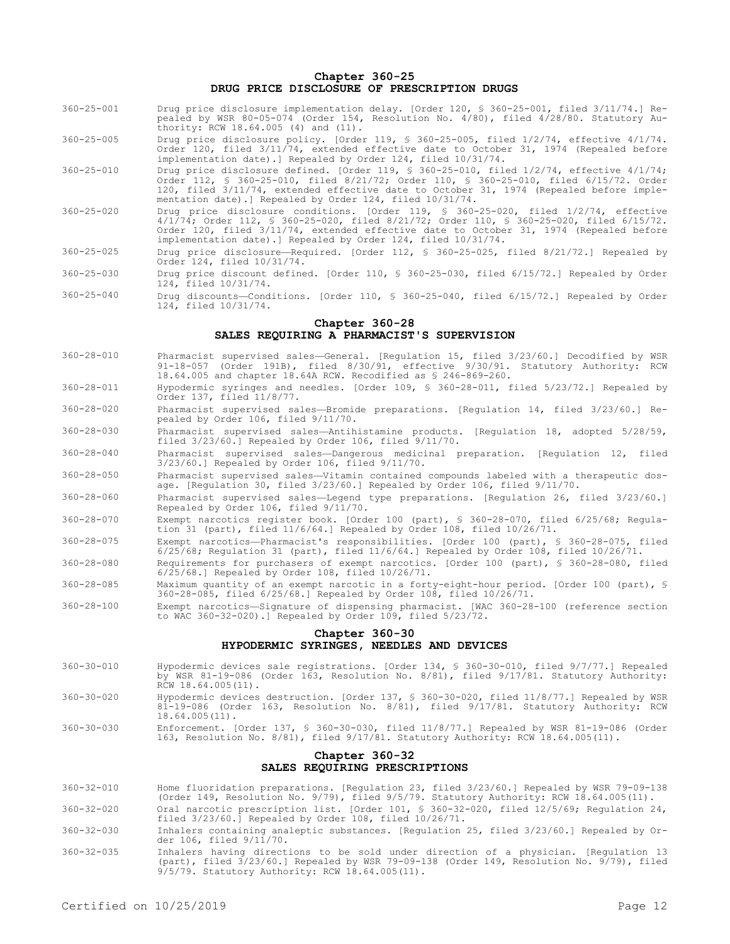## **Chapter 360-25 DRUG PRICE DISCLOSURE OF PRESCRIPTION DRUGS**

- 360-25-001 Drug price disclosure implementation delay. [Order 120, § 360-25-001, filed 3/11/74.] Repealed by WSR 80-05-074 (Order 154, Resolution No. 4/80), filed 4/28/80. Statutory Authority: RCW 18.64.005 (4) and (11).
- 360-25-005 Drug price disclosure policy. [Order 119, § 360-25-005, filed 1/2/74, effective 4/1/74. Order 120, filed 3/11/74, extended effective date to October 31, 1974 (Repealed before implementation date).] Repealed by Order 124, filed 10/31/74.
- 360-25-010 Drug price disclosure defined. [Order 119, § 360-25-010, filed 1/2/74, effective 4/1/74; Order 112, § 360-25-010, filed 8/21/72; Order 110, § 360-25-010, filed 6/15/72. Order 120, filed 3/11/74, extended effective date to October 31, 1974 (Repealed before implementation date).] Repealed by Order 124, filed 10/31/74.
- 360-25-020 Drug price disclosure conditions. [Order 119, § 360-25-020, filed 1/2/74, effective 4/1/74; Order 112, § 360-25-020, filed 8/21/72; Order 110, § 360-25-020, filed 6/15/72. Order 120, filed 3/11/74, extended effective date to October 31, 1974 (Repealed before implementation date).] Repealed by Order 124, filed 10/31/74.
- 360-25-025 Drug price disclosure—Required. [Order 112, § 360-25-025, filed 8/21/72.] Repealed by Order 124, filed 10/31/74.
- 360-25-030 Drug price discount defined. [Order 110, § 360-25-030, filed 6/15/72.] Repealed by Order 124, filed 10/31/74.
- 360-25-040 Drug discounts—Conditions. [Order 110, § 360-25-040, filed 6/15/72.] Repealed by Order 124, filed 10/31/74.

## **Chapter 360-28**

# **SALES REQUIRING A PHARMACIST'S SUPERVISION**

- 360-28-010 Pharmacist supervised sales—General. [Regulation 15, filed 3/23/60.] Decodified by WSR 91-18-057 (Order 191B), filed 8/30/91, effective 9/30/91. Statutory Authority: RCW 18.64.005 and chapter 18.64A RCW. Recodified as § 246-869-260.
- 360-28-011 Hypodermic syringes and needles. [Order 109, § 360-28-011, filed 5/23/72.] Repealed by Order 137, filed 11/8/77.
- 360-28-020 Pharmacist supervised sales—Bromide preparations. [Regulation 14, filed 3/23/60.] Repealed by Order 106, filed 9/11/70.
- 360-28-030 Pharmacist supervised sales—Antihistamine products. [Regulation 18, adopted 5/28/59, filed 3/23/60.] Repealed by Order 106, filed 9/11/70.
- 360-28-040 Pharmacist supervised sales—Dangerous medicinal preparation. [Regulation 12, filed 3/23/60.] Repealed by Order 106, filed 9/11/70.

360-28-050 Pharmacist supervised sales—Vitamin contained compounds labeled with a therapeutic dosage. [Regulation 30, filed 3/23/60.] Repealed by Order 106, filed 9/11/70.

- 360-28-060 Pharmacist supervised sales—Legend type preparations. [Regulation 26, filed 3/23/60.] Repealed by Order 106, filed 9/11/70.
- 360-28-070 Exempt narcotics register book. [Order 100 (part), § 360-28-070, filed 6/25/68; Regulation 31 (part), filed 11/6/64.] Repealed by Order 108, filed 10/26/71.
- 360-28-075 Exempt narcotics—Pharmacist's responsibilities. [Order 100 (part), § 360-28-075, filed 6/25/68; Regulation 31 (part), filed 11/6/64.] Repealed by Order 108, filed 10/26/71.
- 360-28-080 Requirements for purchasers of exempt narcotics. [Order 100 (part), § 360-28-080, filed 6/25/68.] Repealed by Order 108, filed 10/26/71.
- 360-28-085 Maximum quantity of an exempt narcotic in a forty-eight-hour period. [Order 100 (part), § 360-28-085, filed 6/25/68.] Repealed by Order 108, filed 10/26/71.
- 360-28-100 Exempt narcotics—Signature of dispensing pharmacist. [WAC 360-28-100 (reference section to WAC 360-32-020).] Repealed by Order 109, filed 5/23/72.

## **Chapter 360-30 HYPODERMIC SYRINGES, NEEDLES AND DEVICES**

- 360-30-010 Hypodermic devices sale registrations. [Order 134, § 360-30-010, filed 9/7/77.] Repealed by WSR 81-19-086 (Order 163, Resolution No. 8/81), filed 9/17/81. Statutory Authority: RCW 18.64.005(11).
- 360-30-020 Hypodermic devices destruction. [Order 137, § 360-30-020, filed 11/8/77.] Repealed by WSR 81-19-086 (Order 163, Resolution No. 8/81), filed 9/17/81. Statutory Authority: RCW 18.64.005(11).

## 360-30-030 Enforcement. [Order 137, § 360-30-030, filed 11/8/77.] Repealed by WSR 81-19-086 (Order 163, Resolution No. 8/81), filed 9/17/81. Statutory Authority: RCW 18.64.005(11).

## **Chapter 360-32 SALES REQUIRING PRESCRIPTIONS**

- 360-32-010 Home fluoridation preparations. [Regulation 23, filed 3/23/60.] Repealed by WSR 79-09-138 (Order 149, Resolution No. 9/79), filed 9/5/79. Statutory Authority: RCW 18.64.005(11).
- 360-32-020 Oral narcotic prescription list. [Order 101, § 360-32-020, filed 12/5/69; Regulation 24, filed 3/23/60.] Repealed by Order 108, filed 10/26/71.
- 360-32-030 Inhalers containing analeptic substances. [Regulation 25, filed 3/23/60.] Repealed by Or-der 106, filed 9/11/70.
- 360-32-035 Inhalers having directions to be sold under direction of a physician. [Regulation 13 (part), filed 3/23/60.] Repealed by WSR 79-09-138 (Order 149, Resolution No. 9/79), filed 9/5/79. Statutory Authority: RCW 18.64.005(11).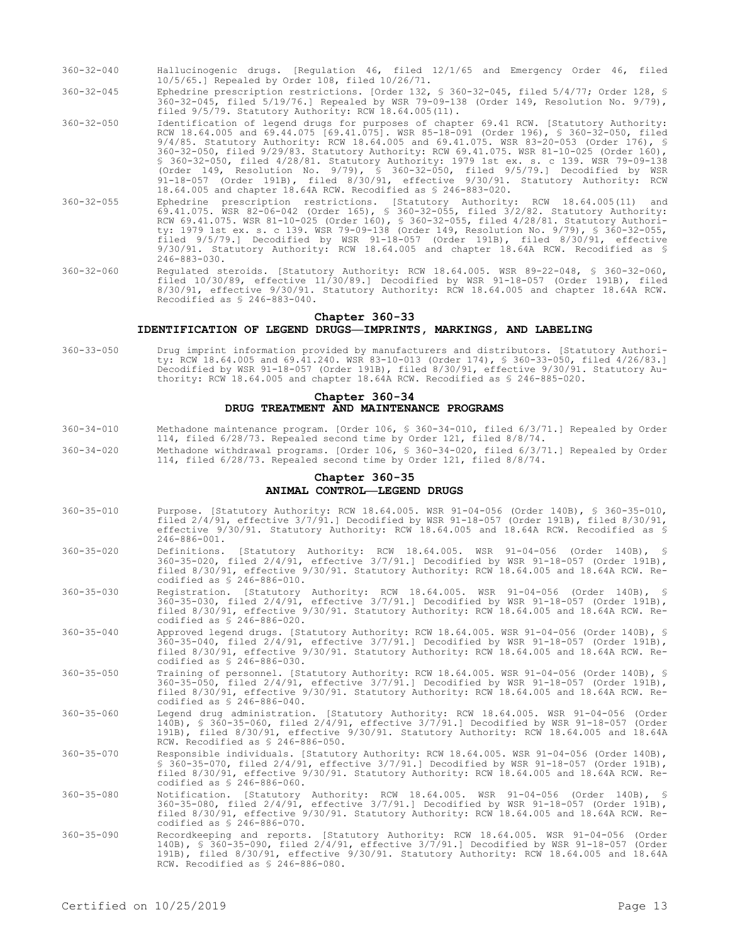- 360-32-040 Hallucinogenic drugs. [Regulation 46, filed 12/1/65 and Emergency Order 46, filed 10/5/65.] Repealed by Order 108, filed 10/26/71.
- 360-32-045 Ephedrine prescription restrictions. [Order 132, § 360-32-045, filed 5/4/77; Order 128, § 360-32-045, filed 5/19/76.] Repealed by WSR 79-09-138 (Order 149, Resolution No. 9/79), filed 9/5/79. Statutory Authority: RCW 18.64.005(11).
- 360-32-050 Identification of legend drugs for purposes of chapter 69.41 RCW. [Statutory Authority: RCW 18.64.005 and 69.44.075 [69.41.075]. WSR 85-18-091 (Order 196), § 360-32-050, filed 9/4/85. Statutory Authority: RCW 18.64.005 and 69.41.075. WSR 83-20-053 (Order 176), § 360-32-050, filed 9/29/83. Statutory Authority: RCW 69.41.075. WSR 81-10-025 (Order 160), § 360-32-050, filed 4/28/81. Statutory Authority: 1979 1st ex. s. c 139. WSR 79-09-138 (Order 149, Resolution No. 9/79), § 360-32-050, filed 9/5/79.] Decodified by WSR 91-18-057 (Order 191B), filed 8/30/91, effective 9/30/91. Statutory Authority: RCW 18.64.005 and chapter 18.64A RCW. Recodified as § 246-883-020.
- 360-32-055 Ephedrine prescription restrictions. [Statutory Authority: RCW 18.64.005(11) and 69.41.075. WSR 82-06-042 (Order 165), § 360-32-055, filed 3/2/82. Statutory Authority: RCW 69.41.075. WSR 81-10-025 (Order 160), § 360-32-055, filed 4/28/81. Statutory Authority: 1979 1st ex. s. c 139. WSR 79-09-138 (Order 149, Resolution No. 9/79), § 360-32-055, filed 9/5/79.] Decodified by WSR 91-18-057 (Order 191B), filed 8/30/91, effective 9/30/91. Statutory Authority: RCW 18.64.005 and chapter 18.64A RCW. Recodified as § 246-883-030.
- 360-32-060 Regulated steroids. [Statutory Authority: RCW 18.64.005. WSR 89-22-048, § 360-32-060, filed 10/30/89, effective 11/30/89.] Decodified by WSR 91-18-057 (Order 191B), filed 8/30/91, effective 9/30/91. Statutory Authority: RCW 18.64.005 and chapter 18.64A RCW. Recodified as § 246-883-040.

## **Chapter 360-33**

#### **IDENTIFICATION OF LEGEND DRUGS—IMPRINTS, MARKINGS, AND LABELING**

360-33-050 Drug imprint information provided by manufacturers and distributors. [Statutory Authority: RCW 18.64.005 and 69.41.240. WSR 83-10-013 (Order 174), § 360-33-050, filed 4/26/83.] Decodified by WSR 91-18-057 (Order 191B), filed 8/30/91, effective 9/30/91. Statutory Authority: RCW 18.64.005 and chapter 18.64A RCW. Recodified as § 246-885-020.

## **Chapter 360-34 DRUG TREATMENT AND MAINTENANCE PROGRAMS**

- 360-34-010 Methadone maintenance program. [Order 106, § 360-34-010, filed 6/3/71.] Repealed by Order 114, filed 6/28/73. Repealed second time by Order 121, filed 8/8/74.
- 360-34-020 Methadone withdrawal programs. [Order 106, § 360-34-020, filed 6/3/71.] Repealed by Order 114, filed 6/28/73. Repealed second time by Order 121, filed 8/8/74.

## **Chapter 360-35 ANIMAL CONTROL—LEGEND DRUGS**

- 360-35-010 Purpose. [Statutory Authority: RCW 18.64.005. WSR 91-04-056 (Order 140B), § 360-35-010, filed 2/4/91, effective 3/7/91.] Decodified by WSR 91-18-057 (Order 191B), filed 8/30/91, effective 9/30/91. Statutory Authority: RCW 18.64.005 and 18.64A RCW. Recodified as § 246-886-001.
- 360-35-020 Definitions. [Statutory Authority: RCW 18.64.005. WSR 91-04-056 (Order 140B), § 360-35-020, filed 2/4/91, effective 3/7/91.] Decodified by WSR 91-18-057 (Order 191B), filed 8/30/91, effective 9/30/91. Statutory Authority: RCW 18.64.005 and 18.64A RCW. Recodified as § 246-886-010.
- 360-35-030 Registration. [Statutory Authority: RCW 18.64.005. WSR 91-04-056 (Order 140B), § 360-35-030, filed 2/4/91, effective 3/7/91.] Decodified by WSR 91-18-057 (Order 191B), filed 8/30/91, effective 9/30/91. Statutory Authority: RCW 18.64.005 and 18.64A RCW. Recodified as § 246-886-020.
- 360-35-040 Approved legend drugs. [Statutory Authority: RCW 18.64.005. WSR 91-04-056 (Order 140B), § 360-35-040, filed 2/4/91, effective 3/7/91.] Decodified by WSR 91-18-057 (Order 191B), filed 8/30/91, effective 9/30/91. Statutory Authority: RCW 18.64.005 and 18.64A RCW. Recodified as § 246-886-030.
- 360-35-050 Training of personnel. [Statutory Authority: RCW 18.64.005. WSR 91-04-056 (Order 140B), § 360-35-050, filed 2/4/91, effective 3/7/91.] Decodified by WSR 91-18-057 (Order 191B), filed 8/30/91, effective 9/30/91. Statutory Authority: RCW 18.64.005 and 18.64A RCW. Recodified as § 246-886-040.
- 360-35-060 Legend drug administration. [Statutory Authority: RCW 18.64.005. WSR 91-04-056 (Order 140B), § 360-35-060, filed 2/4/91, effective 3/7/91.] Decodified by WSR 91-18-057 (Order 191B), filed 8/30/91, effective 9/30/91. Statutory Authority: RCW 18.64.005 and 18.64A RCW. Recodified as § 246-886-050.
- 360-35-070 Responsible individuals. [Statutory Authority: RCW 18.64.005. WSR 91-04-056 (Order 140B), § 360-35-070, filed 2/4/91, effective 3/7/91.] Decodified by WSR 91-18-057 (Order 191B), filed 8/30/91, effective 9/30/91. Statutory Authority: RCW 18.64.005 and 18.64A RCW. Recodified as § 246-886-060.
- 360-35-080 Notification. [Statutory Authority: RCW 18.64.005. WSR 91-04-056 (Order 140B), § 360-35-080, filed 2/4/91, effective 3/7/91.] Decodified by WSR 91-18-057 (Order 191B), filed 8/30/91, effective 9/30/91. Statutory Authority: RCW 18.64.005 and 18.64A RCW. Recodified as § 246-886-070.
- 360-35-090 Recordkeeping and reports. [Statutory Authority: RCW 18.64.005. WSR 91-04-056 (Order 140B), § 360-35-090, filed 2/4/91, effective 3/7/91.] Decodified by WSR 91-18-057 (Order 191B), filed 8/30/91, effective 9/30/91. Statutory Authority: RCW 18.64.005 and 18.64A RCW. Recodified as § 246-886-080.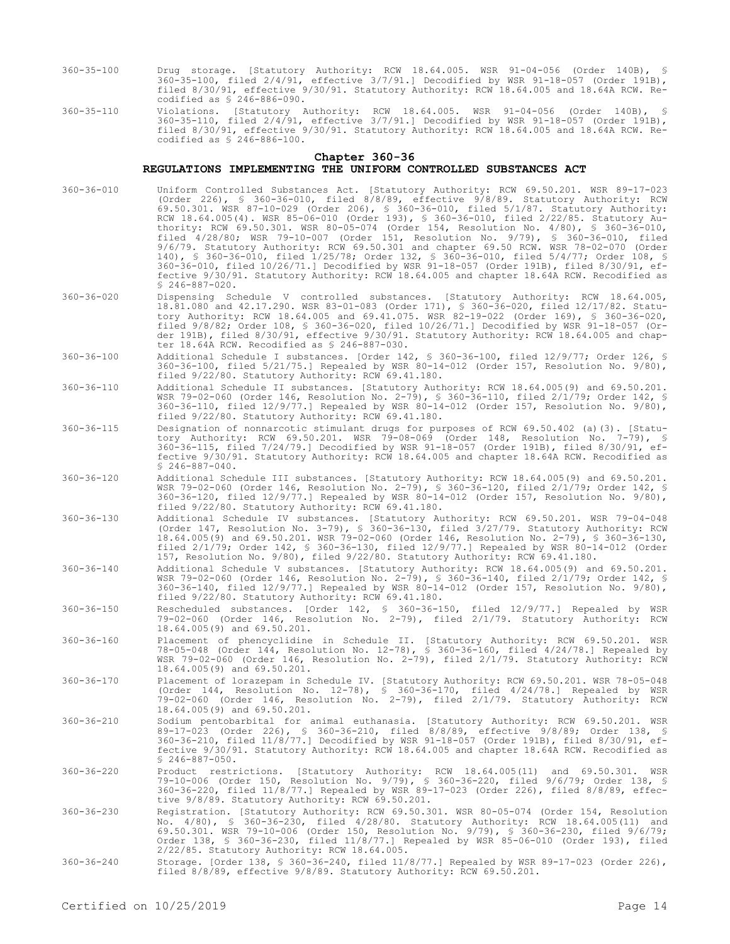- 360-35-100 Drug storage. [Statutory Authority: RCW 18.64.005. WSR 91-04-056 (Order 140B), § 360-35-100, filed 2/4/91, effective 3/7/91.] Decodified by WSR 91-18-057 (Order 191B), filed 8/30/91, effective 9/30/91. Statutory Authority: RCW 18.64.005 and 18.64A RCW. Recodified as § 246-886-090.
- 360-35-110 Violations. [Statutory Authority: RCW 18.64.005. WSR 91-04-056 (Order 140B), § 360-35-110, filed 2/4/91, effective 3/7/91.] Decodified by WSR 91-18-057 (Order 191B), filed 8/30/91, effective 9/30/91. Statutory Authority: RCW 18.64.005 and 18.64A RCW. Recodified as § 246-886-100.

#### **Chapter 360-36**

## **REGULATIONS IMPLEMENTING THE UNIFORM CONTROLLED SUBSTANCES ACT**

- 360-36-010 Uniform Controlled Substances Act. [Statutory Authority: RCW 69.50.201. WSR 89-17-023 (Order 226), § 360-36-010, filed 8/8/89, effective 9/8/89. Statutory Authority: RCW 69.50.301. WSR 87-10-029 (Order 206), § 360-36-010, filed 5/1/87. Statutory Authority: RCW 18.64.005(4). WSR 85-06-010 (Order 193), § 360-36-010, filed 2/22/85. Statutory Authority: RCW 69.50.301. WSR 80-05-074 (Order 154, Resolution No. 4/80), § 360-36-010, filed 4/28/80; WSR 79-10-007 (Order 151, Resolution No. 9/79), § 360-36-010, filed 9/6/79. Statutory Authority: RCW 69.50.301 and chapter 69.50 RCW. WSR 78-02-070 (Order 140), § 360-36-010, filed 1/25/78; Order 132, § 360-36-010, filed 5/4/77; Order 108, § 360-36-010, filed 10/26/71.] Decodified by WSR 91-18-057 (Order 191B), filed 8/30/91, effective 9/30/91. Statutory Authority: RCW 18.64.005 and chapter 18.64A RCW. Recodified as  $$246-887-020.$
- 360-36-020 Dispensing Schedule V controlled substances. [Statutory Authority: RCW 18.64.005, 18.81.080 and 42.17.290. WSR 83-01-083 (Order 171), § 360-36-020, filed 12/17/82. Statutory Authority: RCW 18.64.005 and 69.41.075. WSR 82-19-022 (Order 169), § 360-36-020, filed 9/8/82; Order 108, § 360-36-020, filed 10/26/71.] Decodified by WSR 91-18-057 (Order 191B), filed 8/30/91, effective 9/30/91. Statutory Authority: RCW 18.64.005 and chapter 18.64A RCW. Recodified as § 246-887-030.
- 360-36-100 Additional Schedule I substances. [Order 142, § 360-36-100, filed 12/9/77; Order 126, § 360-36-100, filed 5/21/75.] Repealed by WSR 80-14-012 (Order 157, Resolution No. 9/80), filed 9/22/80. Statutory Authority: RCW 69.41.180.
- 360-36-110 Additional Schedule II substances. [Statutory Authority: RCW 18.64.005(9) and 69.50.201. WSR 79-02-060 (Order 146, Resolution No. 2-79), § 360-36-110, filed 2/1/79; Order 142, § 360-36-110, filed 12/9/77.] Repealed by WSR 80-14-012 (Order 157, Resolution No. 9/80), filed 9/22/80. Statutory Authority: RCW 69.41.180.
- 360-36-115 Designation of nonnarcotic stimulant drugs for purposes of RCW 69.50.402 (a)(3). [Statutory Authority: RCW 69.50.201. WSR 79-08-069 (Order 148, Resolution No. 7-79), § 360-36-115, filed 7/24/79.] Decodified by WSR 91-18-057 (Order 191B), filed 8/30/91, effective 9/30/91. Statutory Authority: RCW 18.64.005 and chapter 18.64A RCW. Recodified as § 246-887-040.
- 360-36-120 Additional Schedule III substances. [Statutory Authority: RCW 18.64.005(9) and 69.50.201. WSR 79-02-060 (Order 146, Resolution No. 2-79), § 360-36-120, filed 2/1/79; Order 142, § 360-36-120, filed 12/9/77.] Repealed by WSR 80-14-012 (Order 157, Resolution No. 9/80), filed 9/22/80. Statutory Authority: RCW 69.41.180.
- 360-36-130 Additional Schedule IV substances. [Statutory Authority: RCW 69.50.201. WSR 79-04-048 (Order 147, Resolution No. 3-79), § 360-36-130, filed 3/27/79. Statutory Authority: RCW 18.64.005(9) and 69.50.201. WSR 79-02-060 (Order 146, Resolution No. 2-79), § 360-36-130, filed 2/1/79; Order 142, § 360-36-130, filed 12/9/77.] Repealed by WSR 80-14-012 (Order 157, Resolution No. 9/80), filed 9/22/80. Statutory Authority: RCW 69.41.180.
- 360-36-140 Additional Schedule V substances. [Statutory Authority: RCW 18.64.005(9) and 69.50.201. WSR 79-02-060 (Order 146, Resolution No. 2-79), § 360-36-140, filed 2/1/79; Order 142, § 360-36-140, filed 12/9/77.] Repealed by WSR 80-14-012 (Order 157, Resolution No. 9/80), filed 9/22/80. Statutory Authority: RCW 69.41.180.
- 360-36-150 Rescheduled substances. [Order 142, § 360-36-150, filed 12/9/77.] Repealed by WSR 79-02-060 (Order 146, Resolution No. 2-79), filed 2/1/79. Statutory Authority: RCW 18.64.005(9) and 69.50.201.
- 360-36-160 Placement of phencyclidine in Schedule II. [Statutory Authority: RCW 69.50.201. WSR 78-05-048 (Order 144, Resolution No. 12-78), § 360-36-160, filed 4/24/78.] Repealed by WSR 79-02-060 (Order 146, Resolution No. 2-79), filed 2/1/79. Statutory Authority: RCW 18.64.005(9) and 69.50.201.
- 360-36-170 Placement of lorazepam in Schedule IV. [Statutory Authority: RCW 69.50.201. WSR 78-05-048 (Order 144, Resolution No. 12-78), § 360-36-170, filed 4/24/78.] Repealed by WSR 79-02-060 (Order 146, Resolution No. 2-79), filed 2/1/79. Statutory Authority: RCW 18.64.005(9) and 69.50.201.
- 360-36-210 Sodium pentobarbital for animal euthanasia. [Statutory Authority: RCW 69.50.201. WSR 89-17-023 (Order 226), § 360-36-210, filed 8/8/89, effective 9/8/89; Order 138, § 360-36-210, filed 11/8/77.] Decodified by WSR 91-18-057 (Order 191B), filed 8/30/91, effective 9/30/91. Statutory Authority: RCW 18.64.005 and chapter 18.64A RCW. Recodified as  $$246-887-050.$
- 360-36-220 Product restrictions. [Statutory Authority: RCW 18.64.005(11) and 69.50.301. WSR 79-10-006 (Order 150, Resolution No. 9/79), § 360-36-220, filed 9/6/79; Order 138, § 360-36-220, filed 11/8/77.] Repealed by WSR 89-17-023 (Order 226), filed 8/8/89, effec-tive 9/8/89. Statutory Authority: RCW 69.50.201.
- 360-36-230 Registration. [Statutory Authority: RCW 69.50.301. WSR 80-05-074 (Order 154, Resolution<br>No. 4/80), § 360-36-230, filed 4/28/80. Statutory Authority: RCW 18.64.005(11) and<br>69.50.301. WSR 79-10-006 (Order 150, Res Order 138, § 360-36-230, filed 11/8/77.] Repealed by WSR 85-06-010 (Order 193), filed 2/22/85. Statutory Authority: RCW 18.64.005.
- 360-36-240 Storage. [Order 138, § 360-36-240, filed 11/8/77.] Repealed by WSR 89-17-023 (Order 226), filed 8/8/89, effective 9/8/89. Statutory Authority: RCW 69.50.201.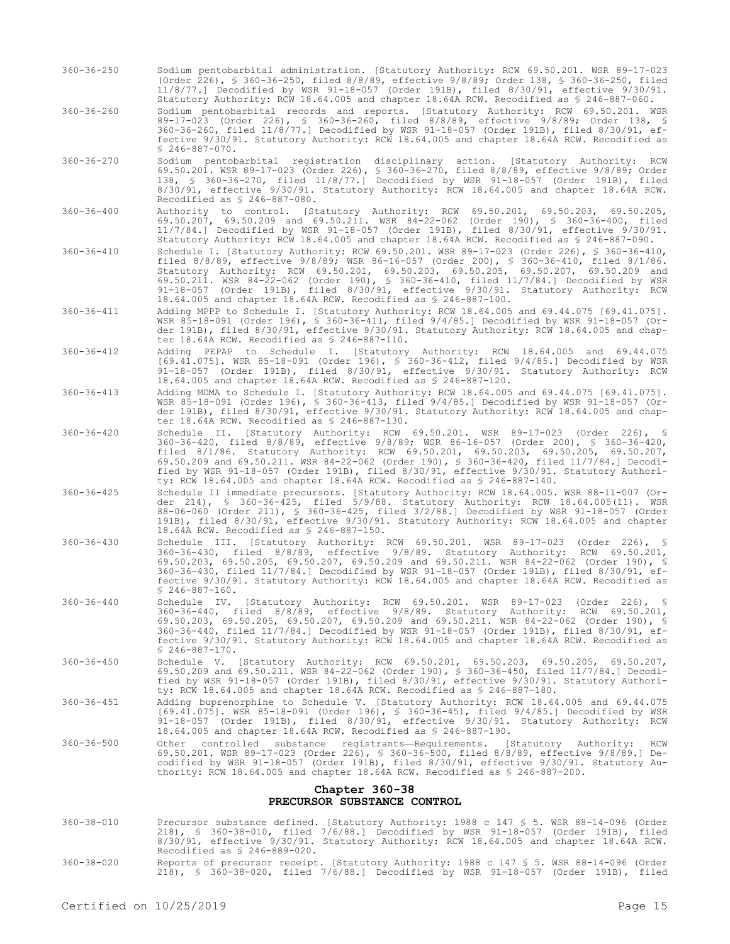- 360-36-250 Sodium pentobarbital administration. [Statutory Authority: RCW 69.50.201. WSR 89-17-023 (Order 226), § 360-36-250, filed 8/8/89, effective 9/8/89; Order 138, § 360-36-250, filed 11/8/77.] Decodified by WSR 91-18-057 (Order 191B), filed 8/30/91, effective 9/30/91. Statutory Authority: RCW 18.64.005 and chapter 18.64A RCW. Recodified as § 246-887-060.
- 360-36-260 Sodium pentobarbital records and reports. [Statutory Authority: RCW 69.50.201. WSR 89-17-023 (Order 226), § 360-36-260, filed 8/8/89, effective 9/8/89; Order 138, § 360-36-260, filed 11/8/77.] Decodified by WSR 91-18-057 (Order 191B), filed 8/30/91, effective 9/30/91. Statutory Authority: RCW 18.64.005 and chapter 18.64A RCW. Recodified as  $$246-887-070.$
- 360-36-270 Sodium pentobarbital registration disciplinary action. [Statutory Authority: RCW 69.50.201. WSR 89-17-023 (Order 226), § 360-36-270, filed 8/8/89, effective 9/8/89; Order 138, § 360-36-270, filed 11/8/77.] Decodified by WSR 91-18-057 (Order 191B), filed 8/30/91, effective 9/30/91. Statutory Authority: RCW 18.64.005 and chapter 18.64A RCW. Recodified as § 246-887-080.
- 360-36-400 Authority to control. [Statutory Authority: RCW 69.50.201, 69.50.203, 69.50.205, 69.50.207, 69.50.209 and 69.50.211. WSR 84-22-062 (Order 190), § 360-36-400, filed 11/7/84.] Decodified by WSR 91-18-057 (Order 191B), filed 8/30/91, effective 9/30/91. Statutory Authority: RCW 18.64.005 and chapter 18.64A RCW. Recodified as § 246-887-090.
- 360-36-410 Schedule I. [Statutory Authority: RCW 69.50.201. WSR 89-17-023 (Order 226), § 360-36-410, filed 8/8/89, effective 9/8/89; WSR 86-16-057 (Order 200), § 360-36-410, filed 8/1/86. Statutory Authority: RCW 69.50.201, 69.50.203, 69.50.205, 69.50.207, 69.50.209 and 69.50.211. WSR 84-22-062 (Order 190), § 360-36-410, filed 11/7/84.] Decodified by WSR 91-18-057 (Order 191B), filed 8/30/91, effective 9/30/91. Statutory Authority: RCW 18.64.005 and chapter 18.64A RCW. Recodified as § 246-887-100.
- 360-36-411 Adding MPPP to Schedule I. [Statutory Authority: RCW 18.64.005 and 69.44.075 [69.41.075]. WSR 85-18-091 (Order 196), § 360-36-411, filed 9/4/85.] Decodified by WSR 91-18-057 (Order 191B), filed 8/30/91, effective 9/30/91. Statutory Authority: RCW 18.64.005 and chapter 18.64A RCW. Recodified as § 246-887-110.
- 360-36-412 Adding PEPAP to Schedule I. [Statutory Authority: RCW 18.64.005 and 69.44.075 [69.41.075]. WSR 85-18-091 (Order 196), § 360-36-412, filed 9/4/85.] Decodified by WSR 91-18-057 (Order 191B), filed 8/30/91, effective 9/30/91. Statutory Authority: RCW 18.64.005 and chapter 18.64A RCW. Recodified as § 246-887-120.
- 360-36-413 Adding MDMA to Schedule I. [Statutory Authority: RCW 18.64.005 and 69.44.075 [69.41.075]. WSR 85-18-091 (Order 196), § 360-36-413, filed 9/4/85.] Decodified by WSR 91-18-057 (Order 191B), filed 8/30/91, effective 9/30/91. Statutory Authority: RCW 18.64.005 and chapter 18.64A RCW. Recodified as § 246-887-130.
- 360-36-420 Schedule II. [Statutory Authority: RCW 69.50.201. WSR 89-17-023 (Order 226), § 360-36-420, filed 8/8/89, effective 9/8/89; WSR 86-16-057 (Order 200), § 360-36-420, filed 8/1/86. Statutory Authority: RCW 69.50.201, 69.50.203, 69.50.205, 69.50.207, 69.50.209 and 69.50.211. WSR 84-22-062 (Order 190), § 360-36-420, filed 11/7/84.] Decodified by WSR 91-18-057 (Order 191B), filed 8/30/91, effective 9/30/91. Statutory Authority: RCW 18.64.005 and chapter 18.64A RCW. Recodified as § 246-887-140.
- 360-36-425 Schedule II immediate precursors. [Statutory Authority: RCW 18.64.005. WSR 88-11-007 (Order 214), § 360-36-425, filed 5/9/88. Statutory Authority: RCW 18.64.005(11). WSR 88-06-060 (Order 211), § 360-36-425, filed 3/2/88.] Decodified by WSR 91-18-057 (Order 191B), filed 8/30/91, effective 9/30/91. Statutory Authority: RCW 18.64.005 and chapter 18.64A RCW. Recodified as § 246-887-150.
- 360-36-430 Schedule III. [Statutory Authority: RCW 69.50.201. WSR 89-17-023 (Order 226), § 360-36-430, filed 8/8/89, effective 9/8/89. Statutory Authority: RCW 69.50.201, 69.50.203, 69.50.205, 69.50.207, 69.50.209 and 69.50.211. WSR 84-22-062 (Order 190), § 360-36-430, filed 11/7/84.] Decodified by WSR 91-18-057 (Order 191B), filed 8/30/91, effective 9/30/91. Statutory Authority: RCW 18.64.005 and chapter 18.64A RCW. Recodified as § 246-887-160.
- 360-36-440 Schedule IV. [Statutory Authority: RCW 69.50.201. WSR 89-17-023 (Order 226), § 360-36-440, filed 8/8/89, effective 9/8/89. Statutory Authority: RCW 69.50.201, 69.50.203, 69.50.205, 69.50.207, 69.50.209 and 69.50.211. WSR 84-22-062 (Order 190), § 360-36-440, filed 11/7/84.] Decodified by WSR 91-18-057 (Order 191B), filed 8/30/91, effective 9/30/91. Statutory Authority: RCW 18.64.005 and chapter 18.64A RCW. Recodified as § 246-887-170.
- 360-36-450 Schedule V. [Statutory Authority: RCW 69.50.201, 69.50.203, 69.50.205, 69.50.207, 69.50.209 and 69.50.211. WSR 84-22-062 (Order 190), § 360-36-450, filed 11/7/84.] Decodified by WSR 91-18-057 (Order 191B), filed 8/30/91, effective 9/30/91. Statutory Authority: RCW 18.64.005 and chapter 18.64A RCW. Recodified as § 246-887-180.
- 360-36-451 Adding buprenorphine to Schedule V. [Statutory Authority: RCW 18.64.005 and 69.44.075 [69.41.075]. WSR 85-18-091 (Order 196), § 360-36-451, filed 9/4/85.] Decodified by WSR 91-18-057 (Order 191B), filed 8/30/91, effective 9/30/91. Statutory Authority: RCW 18.64.005 and chapter 18.64A RCW. Recodified as § 246-887-190.
- 360-36-500 Other controlled substance registrants—Requirements. [Statutory Authority: RCW 69.50.201. WSR 89-17-023 (Order 226), § 360-36-500, filed 8/8/89, effective 9/8/89.] Decodified by WSR 91-18-057 (Order 191B), filed 8/30/91, effective 9/30/91. Statutory Authority: RCW 18.64.005 and chapter 18.64A RCW. Recodified as § 246-887-200.

## **Chapter 360-38 PRECURSOR SUBSTANCE CONTROL**

- 360-38-010 Precursor substance defined. [Statutory Authority: 1988 c 147 § 5. WSR 88-14-096 (Order 218), § 360-38-010, filed 7/6/88.] Decodified by WSR 91-18-057 (Order 191B), filed 8/30/91, effective 9/30/91. Statutory Authority: RCW 18.64.005 and chapter 18.64A RCW. Recodified as § 246-889-020.
- 360-38-020 Reports of precursor receipt. [Statutory Authority: 1988 c 147 § 5. WSR 88-14-096 (Order 218), § 360-38-020, filed 7/6/88.] Decodified by WSR 91-18-057 (Order 191B), filed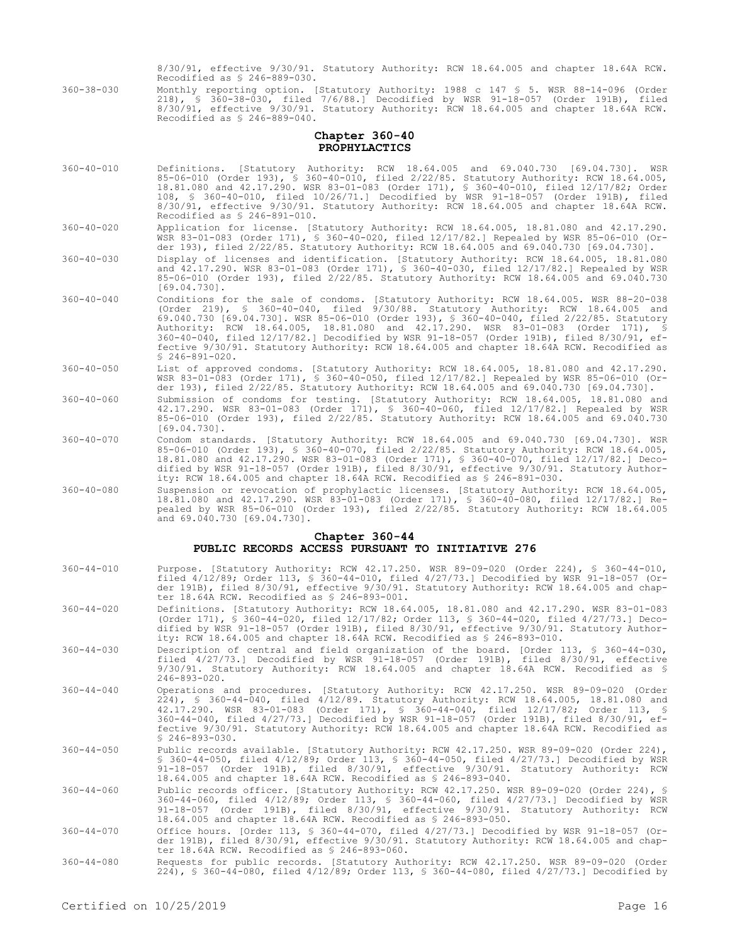8/30/91, effective 9/30/91. Statutory Authority: RCW 18.64.005 and chapter 18.64A RCW. Recodified as § 246-889-030.

360-38-030 Monthly reporting option. [Statutory Authority: 1988 c 147 § 5. WSR 88-14-096 (Order 218), § 360-38-030, filed 7/6/88.] Decodified by WSR 91-18-057 (Order 191B), filed 8/30/91, effective 9/30/91. Statutory Authority: RCW 18.64.005 and chapter 18.64A RCW. Recodified as § 246-889-040.

## **Chapter 360-40 PROPHYLACTICS**

- 360-40-010 Definitions. [Statutory Authority: RCW 18.64.005 and 69.040.730 [69.04.730]. WSR 85-06-010 (Order 193), § 360-40-010, filed 2/22/85. Statutory Authority: RCW 18.64.005, 18.81.080 and 42.17.290. WSR 83-01-083 (Order 171), § 360-40-010, filed 12/17/82; Order 108, § 360-40-010, filed 10/26/71.] Decodified by WSR 91-18-057 (Order 191B), filed 8/30/91, effective 9/30/91. Statutory Authority: RCW 18.64.005 and chapter 18.64A RCW. Recodified as § 246-891-010.
- 360-40-020 Application for license. [Statutory Authority: RCW 18.64.005, 18.81.080 and 42.17.290. WSR 83-01-083 (Order 171), § 360-40-020, filed 12/17/82.] Repealed by WSR 85-06-010 (Order 193), filed 2/22/85. Statutory Authority: RCW 18.64.005 and 69.040.730 [69.04.730].
- 360-40-030 Display of licenses and identification. [Statutory Authority: RCW 18.64.005, 18.81.080 and 42.17.290. WSR 83-01-083 (Order 171), § 360-40-030, filed 12/17/82.] Repealed by WSR 85-06-010 (Order 193), filed 2/22/85. Statutory Authority: RCW 18.64.005 and 69.040.730 [69.04.730].
- 360-40-040 Conditions for the sale of condoms. [Statutory Authority: RCW 18.64.005. WSR 88-20-038 (Order 219), § 360-40-040, filed 9/30/88. Statutory Authority: RCW 18.64.005 and 69.040.730 [69.04.730]. WSR 85-06-010 (Order 193), § 360-40-040, filed 2/22/85. Statutory Authority: RCW 18.64.005, 18.81.080 and 42.17.290. WSR 83-01-083 (Order 171), § 360-40-040, filed 12/17/82.] Decodified by WSR 91-18-057 (Order 191B), filed 8/30/91, effective 9/30/91. Statutory Authority: RCW 18.64.005 and chapter 18.64A RCW. Recodified as  $$246-891-020.$
- 360-40-050 List of approved condoms. [Statutory Authority: RCW 18.64.005, 18.81.080 and 42.17.290. WSR 83-01-083 (Order 171), § 360-40-050, filed 12/17/82.] Repealed by WSR 85-06-010 (Order 193), filed 2/22/85. Statutory Authority: RCW 18.64.005 and 69.040.730 [69.04.730].
- 360-40-060 Submission of condoms for testing. [Statutory Authority: RCW 18.64.005, 18.81.080 and 42.17.290. WSR 83-01-083 (Order 171), § 360-40-060, filed 12/17/82.] Repealed by WSR 85-06-010 (Order 193), filed 2/22/85. Statutory Authority: RCW 18.64.005 and 69.040.730 [69.04.730].
- 360-40-070 Condom standards. [Statutory Authority: RCW 18.64.005 and 69.040.730 [69.04.730]. WSR 85-06-010 (Order 193), § 360-40-070, filed 2/22/85. Statutory Authority: RCW 18.64.005, 18.81.080 and 42.17.290. WSR 83-01-083 (Order 171), § 360-40-070, filed 12/17/82.] Decodified by WSR 91-18-057 (Order 191B), filed 8/30/91, effective 9/30/91. Statutory Authority: RCW 18.64.005 and chapter 18.64A RCW. Recodified as § 246-891-030.
- 360-40-080 Suspension or revocation of prophylactic licenses. [Statutory Authority: RCW 18.64.005, 18.81.080 and 42.17.290. WSR 83-01-083 (Order 171), § 360-40-080, filed 12/17/82.] Repealed by WSR 85-06-010 (Order 193), filed 2/22/85. Statutory Authority: RCW 18.64.005 and 69.040.730 [69.04.730].

#### **Chapter 360-44**

## **PUBLIC RECORDS ACCESS PURSUANT TO INITIATIVE 276**

- 360-44-010 Purpose. [Statutory Authority: RCW 42.17.250. WSR 89-09-020 (Order 224), § 360-44-010, filed 4/12/89; Order 113, § 360-44-010, filed 4/27/73.] Decodified by WSR 91-18-057 (Order 191B), filed 8/30/91, effective 9/30/91. Statutory Authority: RCW 18.64.005 and chapter 18.64A RCW. Recodified as § 246-893-001. 360-44-020 Definitions. [Statutory Authority: RCW 18.64.005, 18.81.080 and 42.17.290. WSR 83-01-083 (Order 171), § 360-44-020, filed 12/17/82; Order 113, § 360-44-020, filed 4/27/73.] Decodified by WSR 91-18-057 (Order 191B), filed 8/30/91, effective 9/30/91. Statutory Authority: RCW 18.64.005 and chapter 18.64A RCW. Recodified as § 246-893-010. 360-44-030 Description of central and field organization of the board. [Order 113, § 360-44-030, filed 4/27/73.] Decodified by WSR 91-18-057 (Order 191B), filed 8/30/91, effective 9/30/91. Statutory Authority: RCW 18.64.005 and chapter 18.64A RCW. Recodified as § 246-893-020. 360-44-040 Operations and procedures. [Statutory Authority: RCW 42.17.250. WSR 89-09-020 (Order 224), § 360-44-040, filed 4/12/89. Statutory Authority: RCW 18.64.005, 18.81.080 and 42.17.290. WSR 83-01-083 (Order 171), § 360-44-040, filed 12/17/82; Order 113, § 360-44-040, filed 4/27/73.] Decodified by WSR 91-18-057 (Order 191B), filed 8/30/91, effective 9/30/91. Statutory Authority: RCW 18.64.005 and chapter 18.64A RCW. Recodified as § 246-893-030. 360-44-050 Public records available. [Statutory Authority: RCW 42.17.250. WSR 89-09-020 (Order 224),
	- § 360-44-050, filed 4/12/89; Order 113, § 360-44-050, filed 4/27/73.] Decodified by WSR 91-18-057 (Order 191B), filed 8/30/91, effective 9/30/91. Statutory Authority: RCW 18.64.005 and chapter 18.64A RCW. Recodified as § 246-893-040.
- 360-44-060 Public records officer. [Statutory Authority: RCW 42.17.250. WSR 89-09-020 (Order 224), § 360-44-060, filed 4/12/89; Order 113, § 360-44-060, filed 4/27/73.] Decodified by WSR 91-18-057 (Order 191B), filed 8/30/91, effective 9/30/91. Statutory Authority: RCW 18.64.005 and chapter 18.64A RCW. Recodified as § 246-893-050.
- 360-44-070 Office hours. [Order 113, § 360-44-070, filed 4/27/73.] Decodified by WSR 91-18-057 (Order 191B), filed 8/30/91, effective 9/30/91. Statutory Authority: RCW 18.64.005 and chapter 18.64A RCW. Recodified as § 246-893-060.
- 360-44-080 Requests for public records. [Statutory Authority: RCW 42.17.250. WSR 89-09-020 (Order 224), § 360-44-080, filed 4/12/89; Order 113, § 360-44-080, filed 4/27/73.] Decodified by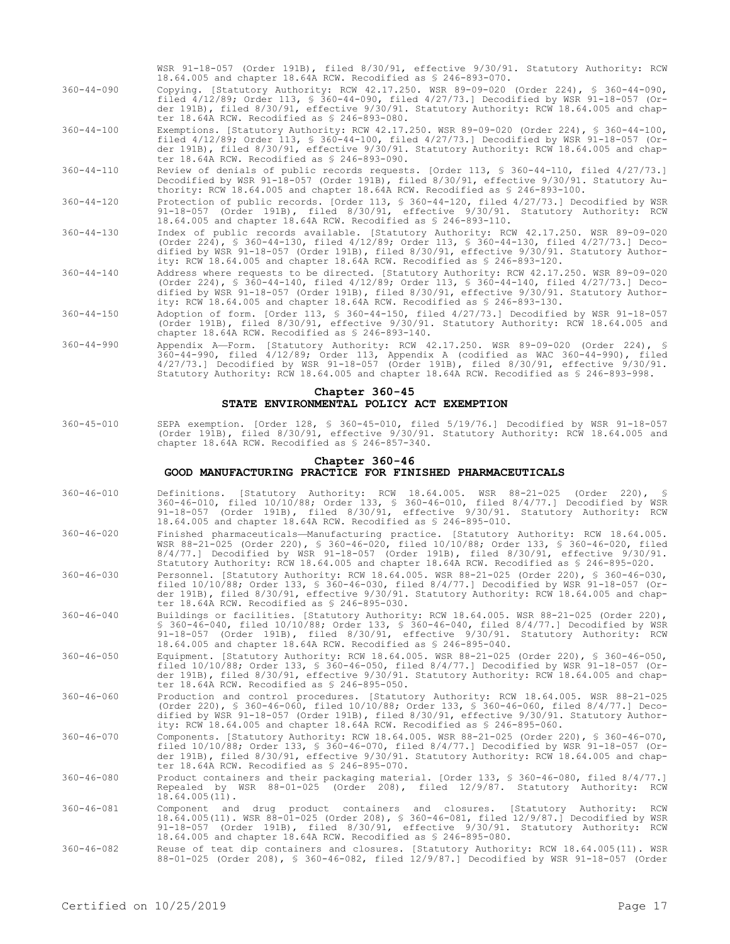|            |  |  |  |                                                                  | WSR 91-18-057 (Order 191B), filed 8/30/91, effective 9/30/91. Statutory Authority: RCW                                                                                                                                                                                              |  |
|------------|--|--|--|------------------------------------------------------------------|-------------------------------------------------------------------------------------------------------------------------------------------------------------------------------------------------------------------------------------------------------------------------------------|--|
|            |  |  |  | 18.64.005 and chapter 18.64A RCW. Recodified as $$246-893-070$ . |                                                                                                                                                                                                                                                                                     |  |
| $11 - 000$ |  |  |  |                                                                  | $Convin \alpha$ $[C+11+011]$ $\lambda_{11}$ $\lambda_{12}$ $\lambda_{13}$ $\lambda_{14}$ $\lambda_{15}$ $\lambda_{17}$ $\lambda_{18}$ $\lambda_{19}$ $\lambda_{10}$ $\alpha_{10}$ $\alpha_{10}$ $\alpha_{10}$ $\alpha_{10}$ $\alpha_{10}$ $\alpha_{11}$ $\alpha_{12}$ $\alpha_{13}$ |  |

- 360-44-090 Copying. [Statutory Authority: RCW 42.17.250. WSR 89-09-020 (Order 224), § 360-44-090, filed 4/12/89; Order 113, § 360-44-090, filed 4/27/73.] Decodified by WSR 91-18-057 (Order 191B), filed 8/30/91, effective 9/30/91. Statutory Authority: RCW 18.64.005 and chapter 18.64A RCW. Recodified as § 246-893-080.
- 360-44-100 Exemptions. [Statutory Authority: RCW 42.17.250. WSR 89-09-020 (Order 224), § 360-44-100, filed 4/12/89; Order 113, § 360-44-100, filed 4/27/73.] Decodified by WSR 91-18-057 (Order 191B), filed 8/30/91, effective 9/30/91. Statutory Authority: RCW 18.64.005 and chapter 18.64A RCW. Recodified as § 246-893-090.
- 360-44-110 Review of denials of public records requests. [Order 113, § 360-44-110, filed 4/27/73.] Decodified by WSR 91-18-057 (Order 191B), filed 8/30/91, effective 9/30/91. Statutory Authority: RCW 18.64.005 and chapter 18.64A RCW. Recodified as § 246-893-100.
- 360-44-120 Protection of public records. [Order 113, § 360-44-120, filed 4/27/73.] Decodified by WSR 91-18-057 (Order 191B), filed 8/30/91, effective 9/30/91. Statutory Authority: RCW 18.64.005 and chapter 18.64A RCW. Recodified as § 246-893-110.
- 360-44-130 Index of public records available. [Statutory Authority: RCW 42.17.250. WSR 89-09-020 (Order 224), § 360-44-130, filed 4/12/89; Order 113, § 360-44-130, filed 4/27/73.] Decodified by WSR 91-18-057 (Order 191B), filed 8/30/91, effective 9/30/91. Statutory Authority: RCW 18.64.005 and chapter 18.64A RCW. Recodified as § 246-893-120.
- 360-44-140 Address where requests to be directed. [Statutory Authority: RCW 42.17.250. WSR 89-09-020 (Order 224), § 360-44-140, filed 4/12/89; Order 113, § 360-44-140, filed 4/27/73.] Decodified by WSR 91-18-057 (Order 191B), filed 8/30/91, effective 9/30/91. Statutory Authority: RCW 18.64.005 and chapter 18.64A RCW. Recodified as § 246-893-130.
- 360-44-150 Adoption of form. [Order 113, § 360-44-150, filed 4/27/73.] Decodified by WSR 91-18-057 (Order 191B), filed 8/30/91, effective 9/30/91. Statutory Authority: RCW 18.64.005 and chapter 18.64A RCW. Recodified as § 246-893-140.
- 360-44-990 Appendix A—Form. [Statutory Authority: RCW 42.17.250. WSR 89-09-020 (Order 224), § 360-44-990, filed 4/12/89; Order 113, Appendix A (codified as WAC 360-44-990), filed 4/27/73.] Decodified by WSR 91-18-057 (Order 191B), filed 8/30/91, effective 9/30/91. Statutory Authority: RCW 18.64.005 and chapter 18.64A RCW. Recodified as § 246-893-998.

## **Chapter 360-45 STATE ENVIRONMENTAL POLICY ACT EXEMPTION**

360-45-010 SEPA exemption. [Order 128, § 360-45-010, filed 5/19/76.] Decodified by WSR 91-18-057 (Order 191B), filed 8/30/91, effective 9/30/91. Statutory Authority: RCW 18.64.005 and chapter 18.64A RCW. Recodified as § 246-857-340.

#### **Chapter 360-46 GOOD MANUFACTURING PRACTICE FOR FINISHED PHARMACEUTICALS**

- 360-46-010 Definitions. [Statutory Authority: RCW 18.64.005. WSR 88-21-025 (Order 220), § 360-46-010, filed 10/10/88; Order 133, § 360-46-010, filed 8/4/77.] Decodified by WSR 91-18-057 (Order 191B), filed 8/30/91, effective 9/30/91. Statutory Authority: RCW 18.64.005 and chapter 18.64A RCW. Recodified as § 246-895-010.
- 360-46-020 Finished pharmaceuticals—Manufacturing practice. [Statutory Authority: RCW 18.64.005. WSR 88-21-025 (Order 220), § 360-46-020, filed 10/10/88; Order 133, § 360-46-020, filed 8/4/77.] Decodified by WSR 91-18-057 (Order 191B), filed 8/30/91, effective 9/30/91. Statutory Authority: RCW 18.64.005 and chapter 18.64A RCW. Recodified as § 246-895-020.
- 360-46-030 Personnel. [Statutory Authority: RCW 18.64.005. WSR 88-21-025 (Order 220), § 360-46-030, filed 10/10/88; Order 133, § 360-46-030, filed 8/4/77.] Decodified by WSR 91-18-057 (Order 191B), filed 8/30/91, effective 9/30/91. Statutory Authority: RCW 18.64.005 and chapter 18.64A RCW. Recodified as § 246-895-030.
- 360-46-040 Buildings or facilities. [Statutory Authority: RCW 18.64.005. WSR 88-21-025 (Order 220), § 360-46-040, filed 10/10/88; Order 133, § 360-46-040, filed 8/4/77.] Decodified by WSR 91-18-057 (Order 191B), filed 8/30/91, effective 9/30/91. Statutory Authority: RCW 18.64.005 and chapter 18.64A RCW. Recodified as § 246-895-040.
- 360-46-050 Equipment. [Statutory Authority: RCW 18.64.005. WSR 88-21-025 (Order 220), § 360-46-050, filed 10/10/88; Order 133, § 360-46-050, filed 8/4/77.] Decodified by WSR 91-18-057 (Order 191B), filed 8/30/91, effective 9/30/91. Statutory Authority: RCW 18.64.005 and chapter 18.64A RCW. Recodified as § 246-895-050.
- 360-46-060 Production and control procedures. [Statutory Authority: RCW 18.64.005. WSR 88-21-025 (Order 220), § 360-46-060, filed 10/10/88; Order 133, § 360-46-060, filed 8/4/77.] Decodified by WSR 91-18-057 (Order 191B), filed 8/30/91, effective 9/30/91. Statutory Authority: RCW 18.64.005 and chapter 18.64A RCW. Recodified as § 246-895-060.
- 360-46-070 Components. [Statutory Authority: RCW 18.64.005. WSR 88-21-025 (Order 220), § 360-46-070, filed 10/10/88; Order 133, § 360-46-070, filed 8/4/77.] Decodified by WSR 91-18-057 (Order 191B), filed 8/30/91, effective 9/30/91. Statutory Authority: RCW 18.64.005 and chapter 18.64A RCW. Recodified as § 246-895-070.
- 360-46-080 Product containers and their packaging material. [Order 133, § 360-46-080, filed 8/4/77.] Repealed by WSR 88-01-025 (Order 208), filed 12/9/87. Statutory Authority: RCW 18.64.005(11).
- 360-46-081 Component and drug product containers and closures. [Statutory Authority: RCW<br>18.64.005(11). WSR 88-01-025 (Order 208), § 360-46-081, filed 12/9/87.] Decodified by WSR<br>91-18-057 (Order 191B), filed 8/30/91, e 18.64.005 and chapter 18.64A RCW. Recodified as § 246-895-080.
- 360-46-082 Reuse of teat dip containers and closures. [Statutory Authority: RCW 18.64.005(11). WSR 88-01-025 (Order 208), § 360-46-082, filed 12/9/87.] Decodified by WSR 91-18-057 (Order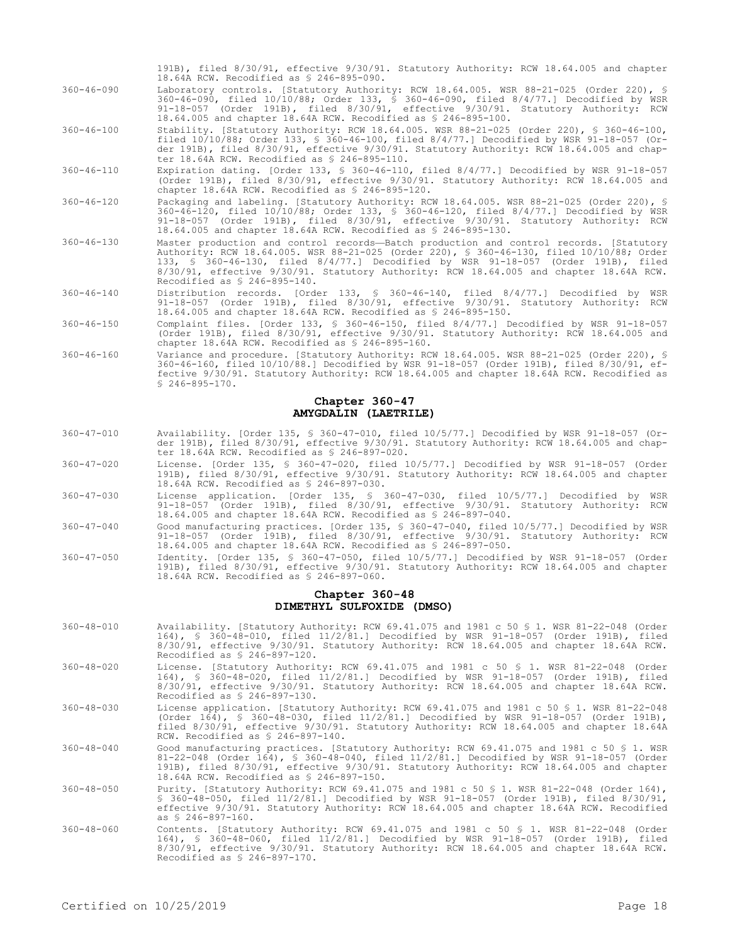- 191B), filed 8/30/91, effective 9/30/91. Statutory Authority: RCW 18.64.005 and chapter 18.64A RCW. Recodified as § 246-895-090.
- 360-46-090 Laboratory controls. [Statutory Authority: RCW 18.64.005. WSR 88-21-025 (Order 220), § 360-46-090, filed 10/10/88; Order 133, § 360-46-090, filed 8/4/77.] Decodified by WSR 91-18-057 (Order 191B), filed 8/30/91, effective 9/30/91. Statutory Authority: RCW 18.64.005 and chapter 18.64A RCW. Recodified as § 246-895-100.
- 360-46-100 Stability. [Statutory Authority: RCW 18.64.005. WSR 88-21-025 (Order 220), § 360-46-100, filed 10/10/88; Order 133, § 360-46-100, filed 8/4/77.] Decodified by WSR 91-18-057 (Order 191B), filed 8/30/91, effective 9/30/91. Statutory Authority: RCW 18.64.005 and chapter 18.64A RCW. Recodified as § 246-895-110.
- 360-46-110 Expiration dating. [Order 133, § 360-46-110, filed 8/4/77.] Decodified by WSR 91-18-057 (Order 191B), filed 8/30/91, effective 9/30/91. Statutory Authority: RCW 18.64.005 and chapter 18.64A RCW. Recodified as § 246-895-120.
- 360-46-120 Packaging and labeling. [Statutory Authority: RCW 18.64.005. WSR 88-21-025 (Order 220), § 360-46-120, filed 10/10/88; Order 133, § 360-46-120, filed 8/4/77.] Decodified by WSR 91-18-057 (Order 191B), filed 8/30/91, effective 9/30/91. Statutory Authority: RCW 18.64.005 and chapter 18.64A RCW. Recodified as § 246-895-130.
- 360-46-130 Master production and control records—Batch production and control records. [Statutory Authority: RCW 18.64.005. WSR 88-21-025 (Order 220), § 360-46-130, filed 10/10/88; Order 133, § 360-46-130, filed 8/4/77.] Decodified by WSR 91-18-057 (Order 191B), filed 8/30/91, effective 9/30/91. Statutory Authority: RCW 18.64.005 and chapter 18.64A RCW. Recodified as § 246-895-140.
- 360-46-140 Distribution records. [Order 133, § 360-46-140, filed 8/4/77.] Decodified by WSR 91-18-057 (Order 191B), filed 8/30/91, effective 9/30/91. Statutory Authority: RCW 18.64.005 and chapter 18.64A RCW. Recodified as § 246-895-150.
- 360-46-150 Complaint files. [Order 133, § 360-46-150, filed 8/4/77.] Decodified by WSR 91-18-057 (Order 191B), filed 8/30/91, effective 9/30/91. Statutory Authority: RCW 18.64.005 and chapter 18.64A RCW. Recodified as § 246-895-160.
- 360-46-160 Variance and procedure. [Statutory Authority: RCW 18.64.005. WSR 88-21-025 (Order 220), § 360-46-160, filed 10/10/88.] Decodified by WSR 91-18-057 (Order 191B), filed 8/30/91, effective 9/30/91. Statutory Authority: RCW 18.64.005 and chapter 18.64A RCW. Recodified as § 246-895-170.

### **Chapter 360-47 AMYGDALIN (LAETRILE)**

- 360-47-010 Availability. [Order 135, § 360-47-010, filed 10/5/77.] Decodified by WSR 91-18-057 (Order 191B), filed 8/30/91, effective 9/30/91. Statutory Authority: RCW 18.64.005 and chapter 18.64A RCW. Recodified as § 246-897-020.
- 360-47-020 License. [Order 135, § 360-47-020, filed 10/5/77.] Decodified by WSR 91-18-057 (Order 191B), filed 8/30/91, effective 9/30/91. Statutory Authority: RCW 18.64.005 and chapter 18.64A RCW. Recodified as § 246-897-030.
- 360-47-030 License application. [Order 135, § 360-47-030, filed 10/5/77.] Decodified by WSR 91-18-057 (Order 191B), filed 8/30/91, effective 9/30/91. Statutory Authority: RCW 18.64.005 and chapter 18.64A RCW. Recodified as § 246-897-040.
- 360-47-040 Good manufacturing practices. [Order 135, § 360-47-040, filed 10/5/77.] Decodified by WSR 91-18-057 (Order 191B), filed 8/30/91, effective 9/30/91. Statutory Authority: RCW 18.64.005 and chapter 18.64A RCW. Recodified as § 246-897-050.
- 360-47-050 Identity. [Order 135, § 360-47-050, filed 10/5/77.] Decodified by WSR 91-18-057 (Order 191B), filed 8/30/91, effective 9/30/91. Statutory Authority: RCW 18.64.005 and chapter 18.64A RCW. Recodified as § 246-897-060.

## **Chapter 360-48 DIMETHYL SULFOXIDE (DMSO)**

- 360-48-010 Availability. [Statutory Authority: RCW 69.41.075 and 1981 c 50 § 1. WSR 81-22-048 (Order 164), § 360-48-010, filed 11/2/81.] Decodified by WSR 91-18-057 (Order 191B), filed 8/30/91, effective 9/30/91. Statutory Authority: RCW 18.64.005 and chapter 18.64A RCW. Recodified as § 246-897-120.
- 360-48-020 License. [Statutory Authority: RCW 69.41.075 and 1981 c 50 § 1. WSR 81-22-048 (Order 164), § 360-48-020, filed 11/2/81.] Decodified by WSR 91-18-057 (Order 191B), filed 8/30/91, effective 9/30/91. Statutory Authority: RCW 18.64.005 and chapter 18.64A RCW. Recodified as § 246-897-130.
- 360-48-030 License application. [Statutory Authority: RCW 69.41.075 and 1981 c 50 § 1. WSR 81-22-048 (Order 164), § 360-48-030, filed 11/2/81.] Decodified by WSR 91-18-057 (Order 191B), filed 8/30/91, effective 9/30/91. Statutory Authority: RCW 18.64.005 and chapter 18.64A RCW. Recodified as § 246-897-140.
- 360-48-040 Good manufacturing practices. [Statutory Authority: RCW 69.41.075 and 1981 c 50 § 1. WSR 81-22-048 (Order 164), § 360-48-040, filed 11/2/81.] Decodified by WSR 91-18-057 (Order 191B), filed 8/30/91, effective 9/30/91. Statutory Authority: RCW 18.64.005 and chapter 18.64A RCW. Recodified as § 246-897-150.
- 360-48-050 Purity. [Statutory Authority: RCW 69.41.075 and 1981 c 50 § 1. WSR 81-22-048 (Order 164), § 360-48-050, filed 11/2/81.] Decodified by WSR 91-18-057 (Order 191B), filed 8/30/91, effective 9/30/91. Statutory Authority: RCW 18.64.005 and chapter 18.64A RCW. Recodified as § 246-897-160.
- 360-48-060 Contents. [Statutory Authority: RCW 69.41.075 and 1981 c 50 § 1. WSR 81-22-048 (Order 164), § 360-48-060, filed 11/2/81.] Decodified by WSR 91-18-057 (Order 191B), filed 8/30/91, effective 9/30/91. Statutory Authority: RCW 18.64.005 and chapter 18.64A RCW. Recodified as § 246-897-170.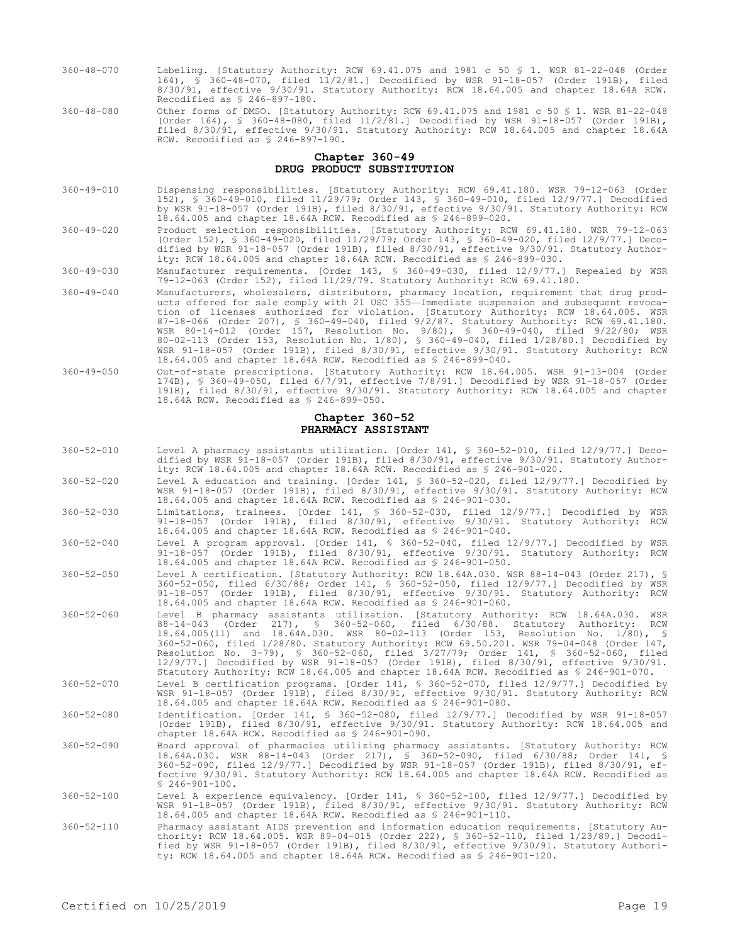- 360-48-070 Labeling. [Statutory Authority: RCW 69.41.075 and 1981 c 50 § 1. WSR 81-22-048 (Order 164), § 360-48-070, filed 11/2/81.] Decodified by WSR 91-18-057 (Order 191B), filed 8/30/91, effective 9/30/91. Statutory Authority: RCW 18.64.005 and chapter 18.64A RCW. Recodified as § 246-897-180.
- 360-48-080 Other forms of DMSO. [Statutory Authority: RCW 69.41.075 and 1981 c 50 § 1. WSR 81-22-048 (Order 164), § 360-48-080, filed 11/2/81.] Decodified by WSR 91-18-057 (Order 191B), filed 8/30/91, effective 9/30/91. Statutory Authority: RCW 18.64.005 and chapter 18.64A RCW. Recodified as § 246-897-190.

## **Chapter 360-49 DRUG PRODUCT SUBSTITUTION**

- 360-49-010 Dispensing responsibilities. [Statutory Authority: RCW 69.41.180. WSR 79-12-063 (Order 152), § 360-49-010, filed 11/29/79; Order 143, § 360-49-010, filed 12/9/77.] Decodified by WSR 91-18-057 (Order 191B), filed 8/30/91, effective 9/30/91. Statutory Authority: RCW 18.64.005 and chapter 18.64A RCW. Recodified as § 246-899-020.
- 360-49-020 Product selection responsibilities. [Statutory Authority: RCW 69.41.180. WSR 79-12-063 (Order 152), § 360-49-020, filed 11/29/79; Order 143, § 360-49-020, filed 12/9/77.] Decodified by WSR 91-18-057 (Order 191B), filed 8/30/91, effective 9/30/91. Statutory Authority: RCW 18.64.005 and chapter 18.64A RCW. Recodified as § 246-899-030.
- 360-49-030 Manufacturer requirements. [Order 143, § 360-49-030, filed 12/9/77.] Repealed by WSR 79-12-063 (Order 152), filed 11/29/79. Statutory Authority: RCW 69.41.180.
- 360-49-040 Manufacturers, wholesalers, distributors, pharmacy location, requirement that drug products offered for sale comply with 21 USC 355—Immediate suspension and subsequent revocation of licenses authorized for violation. [Statutory Authority: RCW 18.64.005. WSR 87-18-066 (Order 207), § 360-49-040, filed 9/2/87. Statutory Authority: RCW 69.41.180. WSR 80-14-012 (Order 157, Resolution No. 9/80), § 360-49-040, filed 9/22/80; WSR 80-02-113 (Order 153, Resolution No. 1/80), § 360-49-040, filed 1/28/80.] Decodified by WSR 91-18-057 (Order 191B), filed 8/30/91, effective 9/30/91. Statutory Authority: RCW 18.64.005 and chapter 18.64A RCW. Recodified as § 246-899-040.
- 360-49-050 Out-of-state prescriptions. [Statutory Authority: RCW 18.64.005. WSR 91-13-004 (Order 174B), § 360-49-050, filed 6/7/91, effective 7/8/91.] Decodified by WSR 91-18-057 (Order 191B), filed 8/30/91, effective 9/30/91. Statutory Authority: RCW 18.64.005 and chapter 18.64A RCW. Recodified as § 246-899-050.

#### **Chapter 360-52 PHARMACY ASSISTANT**

| $360 - 52 - 010$ | Level A pharmacy assistants utilization. [Order 141, § 360-52-010, filed 12/9/77.] Deco-<br>dified by WSR 91-18-057 (Order 191B), filed 8/30/91, effective 9/30/91. Statutory Author-<br>ity: RCW 18.64.005 and chapter 18.64A RCW. Recodified as \$ 246-901-020.                                                                                                                                                                                                                                                                                                                                                           |
|------------------|-----------------------------------------------------------------------------------------------------------------------------------------------------------------------------------------------------------------------------------------------------------------------------------------------------------------------------------------------------------------------------------------------------------------------------------------------------------------------------------------------------------------------------------------------------------------------------------------------------------------------------|
| $360 - 52 - 020$ | Level A education and training. [Order 141, § 360-52-020, filed 12/9/77.] Decodified by<br>WSR 91-18-057 (Order 191B), filed 8/30/91, effective 9/30/91. Statutory Authority: RCW<br>18.64.005 and chapter 18.64A RCW. Recodified as \$ 246-901-030.                                                                                                                                                                                                                                                                                                                                                                        |
| $360 - 52 - 030$ | Limitations, trainees. [Order 141, § 360-52-030, filed 12/9/77.] Decodified by WSR<br>91-18-057 (Order 191B), filed 8/30/91, effective 9/30/91. Statutory Authority: RCW<br>18.64.005 and chapter 18.64A RCW. Recodified as \$ 246-901-040.                                                                                                                                                                                                                                                                                                                                                                                 |
| $360 - 52 - 040$ | Level A program approval. [Order 141, § 360-52-040, filed 12/9/77.] Decodified by WSR<br>91-18-057 (Order 191B), filed 8/30/91, effective 9/30/91. Statutory Authority: RCW<br>18.64.005 and chapter 18.64A RCW. Recodified as \$ 246-901-050.                                                                                                                                                                                                                                                                                                                                                                              |
| $360 - 52 - 050$ | Level A certification. [Statutory Authority: RCW 18.64A.030. WSR 88-14-043 (Order 217), §<br>360-52-050, filed 6/30/88; Order 141, § 360-52-050, filed 12/9/77.] Decodified by WSR<br>91-18-057 (Order 191B), filed 8/30/91, effective 9/30/91. Statutory Authority: RCW<br>18.64.005 and chapter 18.64A RCW. Recodified as \$ 246-901-060.                                                                                                                                                                                                                                                                                 |
| $360 - 52 - 060$ | Level B pharmacy assistants utilization. [Statutory Authority: RCW 18.64A.030. WSR<br>88-14-043 (Order 217), § 360-52-060, filed 6/30/88. Statutory Authority: RCW<br>18.64.005(11) and 18.64A.030. WSR 80-02-113 (Order 153, Resolution No. 1/80), §<br>360-52-060, filed 1/28/80. Statutory Authority: RCW 69.50.201. WSR 79-04-048 (Order 147,<br>Resolution No. 3-79), § 360-52-060, filed 3/27/79; Order 141, § 360-52-060, filed<br>12/9/77.] Decodified by WSR 91-18-057 (Order 191B), filed 8/30/91, effective 9/30/91.<br>Statutory Authority: RCW 18.64.005 and chapter 18.64A RCW. Recodified as \$ 246-901-070. |
| $360 - 52 - 070$ | Level B certification programs. [Order 141, § 360-52-070, filed 12/9/77.] Decodified by<br>WSR 91-18-057 (Order 191B), filed 8/30/91, effective 9/30/91. Statutory Authority: RCW<br>18.64.005 and chapter 18.64A RCW. Recodified as \$ 246-901-080.                                                                                                                                                                                                                                                                                                                                                                        |
| $360 - 52 - 080$ | Identification. [Order 141, § 360-52-080, filed 12/9/77.] Decodified by WSR 91-18-057<br>(Order 191B), filed 8/30/91, effective 9/30/91. Statutory Authority: RCW 18.64.005 and<br>chapter 18.64A RCW. Recodified as \$ 246-901-090.                                                                                                                                                                                                                                                                                                                                                                                        |
| $360 - 52 - 090$ | Board approval of pharmacies utilizing pharmacy assistants. [Statutory Authority: RCW<br>18.64A.030. WSR 88-14-043 (Order 217), § 360-52-090, filed 6/30/88; Order 141, §<br>360-52-090, filed 12/9/77.] Decodified by WSR 91-18-057 (Order 191B), filed 8/30/91, ef-<br>fective 9/30/91. Statutory Authority: RCW 18.64.005 and chapter 18.64A RCW. Recodified as<br>$$246-901-100.$                                                                                                                                                                                                                                       |
| $360 - 52 - 100$ | Level A experience equivalency. [Order 141, § 360-52-100, filed 12/9/77.] Decodified by<br>WSR 91-18-057 (Order 191B), filed 8/30/91, effective 9/30/91. Statutory Authority: RCW<br>18.64.005 and chapter 18.64A RCW. Recodified as \$ 246-901-110.                                                                                                                                                                                                                                                                                                                                                                        |
| $360 - 52 - 110$ | Pharmacy assistant AIDS prevention and information education requirements. [Statutory Au-<br>thority: RCW 18.64.005. WSR 89-04-015 (Order 222), § 360-52-110, filed 1/23/89.] Decodi-<br>fied by WSR 91-18-057 (Order 191B), filed 8/30/91, effective 9/30/91. Statutory Authori-                                                                                                                                                                                                                                                                                                                                           |

ty: RCW 18.64.005 and chapter 18.64A RCW. Recodified as § 246-901-120.